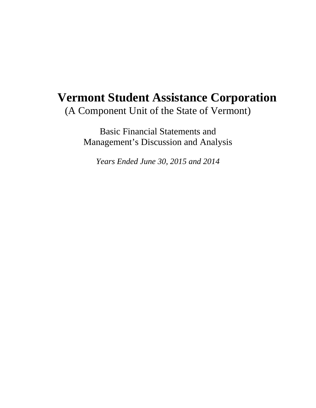# **Vermont Student Assistance Corporation**  (A Component Unit of the State of Vermont)

Basic Financial Statements and Management's Discussion and Analysis

*Years Ended June 30, 2015 and 2014*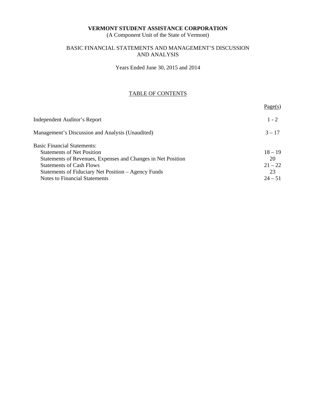(A Component Unit of the State of Vermont)

### BASIC FINANCIAL STATEMENTS AND MANAGEMENT'S DISCUSSION AND ANALYSIS

Years Ended June 30, 2015 and 2014

### TABLE OF CONTENTS

|                                                              | Page(s)   |
|--------------------------------------------------------------|-----------|
| Independent Auditor's Report                                 | $1 - 2$   |
| Management's Discussion and Analysis (Unaudited)             | $3 - 17$  |
| <b>Basic Financial Statements:</b>                           |           |
| <b>Statements of Net Position</b>                            | $18 - 19$ |
| Statements of Revenues, Expenses and Changes in Net Position | 20        |
| <b>Statements of Cash Flows</b>                              | $21 - 22$ |
| Statements of Fiduciary Net Position – Agency Funds          | 23        |
| Notes to Financial Statements                                | $24 - 51$ |
|                                                              |           |
|                                                              |           |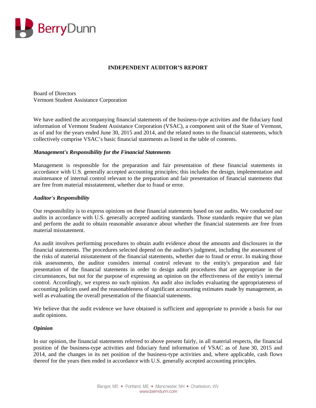

### **INDEPENDENT AUDITOR'S REPORT**

Board of Directors Vermont Student Assistance Corporation

We have audited the accompanying financial statements of the business-type activities and the fiduciary fund information of Vermont Student Assistance Corporation (VSAC), a component unit of the State of Vermont, as of and for the years ended June 30, 2015 and 2014, and the related notes to the financial statements, which collectively comprise VSAC's basic financial statements as listed in the table of contents.

### *Management's Responsibility for the Financial Statements*

Management is responsible for the preparation and fair presentation of these financial statements in accordance with U.S. generally accepted accounting principles; this includes the design, implementation and maintenance of internal control relevant to the preparation and fair presentation of financial statements that are free from material misstatement, whether due to fraud or error.

### *Auditor's Responsibility*

Our responsibility is to express opinions on these financial statements based on our audits. We conducted our audits in accordance with U.S. generally accepted auditing standards. Those standards require that we plan and perform the audit to obtain reasonable assurance about whether the financial statements are free from material misstatement.

An audit involves performing procedures to obtain audit evidence about the amounts and disclosures in the financial statements. The procedures selected depend on the auditor's judgment, including the assessment of the risks of material misstatement of the financial statements, whether due to fraud or error. In making those risk assessments, the auditor considers internal control relevant to the entity's preparation and fair presentation of the financial statements in order to design audit procedures that are appropriate in the circumstances, but not for the purpose of expressing an opinion on the effectiveness of the entity's internal control. Accordingly, we express no such opinion. An audit also includes evaluating the appropriateness of accounting policies used and the reasonableness of significant accounting estimates made by management, as well as evaluating the overall presentation of the financial statements.

We believe that the audit evidence we have obtained is sufficient and appropriate to provide a basis for our audit opinions.

#### *Opinion*

In our opinion, the financial statements referred to above present fairly, in all material respects, the financial position of the business-type activities and fiduciary fund information of VSAC as of June 30, 2015 and 2014, and the changes in its net position of the business-type activities and, where applicable, cash flows thereof for the years then ended in accordance with U.S. generally accepted accounting principles.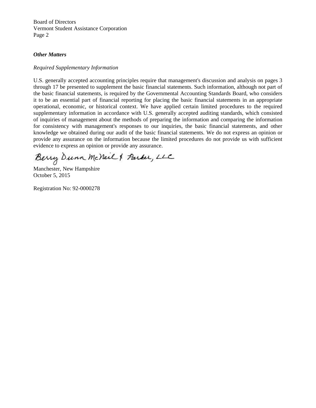Board of Directors Vermont Student Assistance Corporation Page 2

### *Other Matters*

### *Required Supplementary Information*

U.S. generally accepted accounting principles require that management's discussion and analysis on pages 3 through 17 be presented to supplement the basic financial statements. Such information, although not part of the basic financial statements, is required by the Governmental Accounting Standards Board, who considers it to be an essential part of financial reporting for placing the basic financial statements in an appropriate operational, economic, or historical context. We have applied certain limited procedures to the required supplementary information in accordance with U.S. generally accepted auditing standards, which consisted of inquiries of management about the methods of preparing the information and comparing the information for consistency with management's responses to our inquiries, the basic financial statements, and other knowledge we obtained during our audit of the basic financial statements. We do not express an opinion or provide any assurance on the information because the limited procedures do not provide us with sufficient evidence to express an opinion or provide any assurance.

Berry Dunn McNeil & Parker, LLC

Manchester, New Hampshire October 5, 2015

Registration No: 92-0000278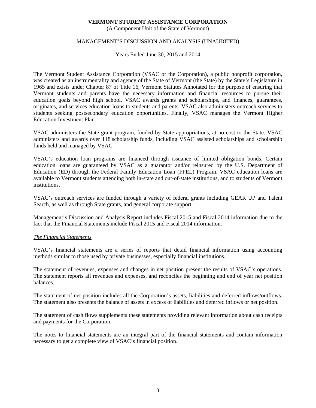(A Component Unit of the State of Vermont)

### MANAGEMENT'S DISCUSSION AND ANALYSIS (UNAUDITED)

Years Ended June 30, 2015 and 2014

The Vermont Student Assistance Corporation (VSAC or the Corporation), a public nonprofit corporation, was created as an instrumentality and agency of the State of Vermont (the State) by the State's Legislature in 1965 and exists under Chapter 87 of Title 16, Vermont Statutes Annotated for the purpose of ensuring that Vermont students and parents have the necessary information and financial resources to pursue their education goals beyond high school. VSAC awards grants and scholarships, and finances, guarantees, originates, and services education loans to students and parents. VSAC also administers outreach services to students seeking postsecondary education opportunities. Finally, VSAC manages the Vermont Higher Education Investment Plan.

VSAC administers the State grant program, funded by State appropriations, at no cost to the State. VSAC administers and awards over 118 scholarship funds, including VSAC assisted scholarships and scholarship funds held and managed by VSAC.

VSAC's education loan programs are financed through issuance of limited obligation bonds. Certain education loans are guaranteed by VSAC as a guarantor and/or reinsured by the U.S. Department of Education (ED) through the Federal Family Education Loan (FFEL) Program. VSAC education loans are available to Vermont students attending both in-state and out-of-state institutions, and to students of Vermont institutions.

VSAC's outreach services are funded through a variety of federal grants including GEAR UP and Talent Search, as well as through State grants, and general corporate support.

Management's Discussion and Analysis Report includes Fiscal 2015 and Fiscal 2014 information due to the fact that the Financial Statements include Fiscal 2015 and Fiscal 2014 information.

#### *The Financial Statements*

VSAC's financial statements are a series of reports that detail financial information using accounting methods similar to those used by private businesses, especially financial institutions.

The statement of revenues, expenses and changes in net position present the results of VSAC's operations. The statement reports all revenues and expenses, and reconciles the beginning and end of year net position balances.

The statement of net position includes all the Corporation's assets, liabilities and deferred inflows/outflows. The statement also presents the balance of assets in excess of liabilities and deferred inflows or net position.

The statement of cash flows supplements these statements providing relevant information about cash receipts and payments for the Corporation.

The notes to financial statements are an integral part of the financial statements and contain information necessary to get a complete view of VSAC's financial position.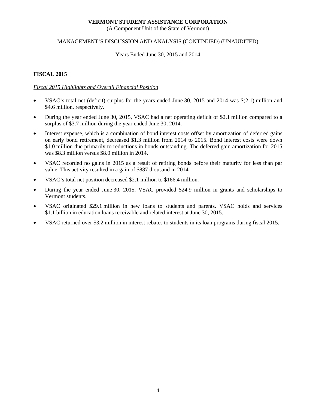(A Component Unit of the State of Vermont)

### MANAGEMENT'S DISCUSSION AND ANALYSIS (CONTINUED) (UNAUDITED)

### Years Ended June 30, 2015 and 2014

### **FISCAL 2015**

### *Fiscal 2015 Highlights and Overall Financial Position*

- VSAC's total net (deficit) surplus for the years ended June 30, 2015 and 2014 was \$(2.1) million and \$4.6 million, respectively.
- During the year ended June 30, 2015, VSAC had a net operating deficit of \$2.1 million compared to a surplus of \$3.7 million during the year ended June 30, 2014.
- Interest expense, which is a combination of bond interest costs offset by amortization of deferred gains on early bond retirement, decreased \$1.3 million from 2014 to 2015. Bond interest costs were down \$1.0 million due primarily to reductions in bonds outstanding. The deferred gain amortization for 2015 was \$8.3 million versus \$8.0 million in 2014.
- VSAC recorded no gains in 2015 as a result of retiring bonds before their maturity for less than par value. This activity resulted in a gain of \$887 thousand in 2014.
- VSAC's total net position decreased \$2.1 million to \$166.4 million.
- During the year ended June 30, 2015, VSAC provided \$24.9 million in grants and scholarships to Vermont students.
- VSAC originated \$29.1 million in new loans to students and parents. VSAC holds and services \$1.1 billion in education loans receivable and related interest at June 30, 2015.
- VSAC returned over \$3.2 million in interest rebates to students in its loan programs during fiscal 2015.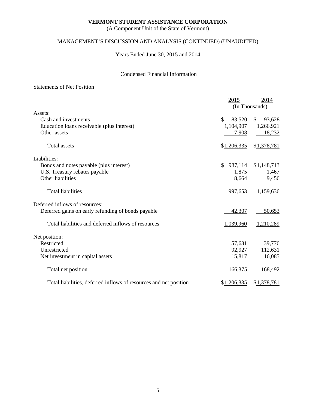(A Component Unit of the State of Vermont)

# MANAGEMENT'S DISCUSSION AND ANALYSIS (CONTINUED) (UNAUDITED)

Years Ended June 30, 2015 and 2014

### Condensed Financial Information

### Statements of Net Position

|                                                                   | 2015          | 2014<br>(In Thousands) |
|-------------------------------------------------------------------|---------------|------------------------|
| Assets:                                                           |               |                        |
| Cash and investments                                              | \$<br>83,520  | \$<br>93,628           |
| Education loans receivable (plus interest)                        | 1,104,907     | 1,266,921              |
| Other assets                                                      | 17,908        | 18,232                 |
| <b>Total</b> assets                                               | \$1,206,335   | \$1,378,781            |
| Liabilities:                                                      |               |                        |
| Bonds and notes payable (plus interest)                           | 987,114<br>\$ | \$1,148,713            |
| U.S. Treasury rebates payable                                     | 1,875         | 1,467                  |
| Other liabilities                                                 | 8,664         | 9,456                  |
| <b>Total liabilities</b>                                          | 997,653       | 1,159,636              |
| Deferred inflows of resources:                                    |               |                        |
| Deferred gains on early refunding of bonds payable                | 42,307        | 50,653                 |
| Total liabilities and deferred inflows of resources               | 1,039,960     | 1,210,289              |
| Net position:                                                     |               |                        |
| Restricted                                                        | 57,631        | 39,776                 |
| Unrestricted                                                      | 92,927        | 112,631                |
| Net investment in capital assets                                  | 15,817        | 16,085                 |
| Total net position                                                | 166,375       | 168,492                |
| Total liabilities, deferred inflows of resources and net position | \$1,206,335   | \$1,378,781            |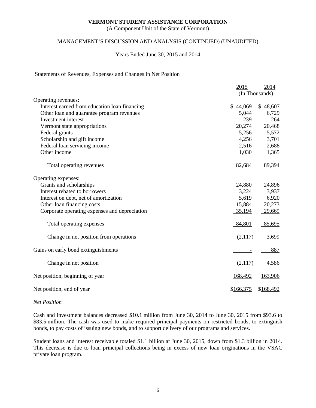(A Component Unit of the State of Vermont)

### MANAGEMENT'S DISCUSSION AND ANALYSIS (CONTINUED) (UNAUDITED)

### Years Ended June 30, 2015 and 2014

#### Statements of Revenues, Expenses and Changes in Net Position

|                                               | 2015           | 2014      |
|-----------------------------------------------|----------------|-----------|
|                                               | (In Thousands) |           |
| Operating revenues:                           |                |           |
| Interest earned from education loan financing | \$44,069       | \$48,607  |
| Other loan and guarantee program revenues     | 5,044          | 6,729     |
| Investment interest                           | 239            | 264       |
| Vermont state appropriations                  | 20,274         | 20,468    |
| Federal grants                                | 5,256          | 5,572     |
| Scholarship and gift income                   | 4,256          | 3,701     |
| Federal loan servicing income                 | 2,516          | 2,688     |
| Other income                                  | 1,030          | 1,365     |
| Total operating revenues                      | 82,684         | 89,394    |
| Operating expenses:                           |                |           |
| Grants and scholarships                       | 24,880         | 24,896    |
| Interest rebated to borrowers                 | 3,224          | 3,937     |
| Interest on debt, net of amortization         | 5,619          | 6,920     |
| Other loan financing costs                    | 15,884         | 20,273    |
| Corporate operating expenses and depreciation | 35,194         | 29,669    |
| Total operating expenses                      | 84,801         | 85,695    |
| Change in net position from operations        | (2,117)        | 3,699     |
| Gains on early bond extinguishments           |                | 887       |
| Change in net position                        | (2,117)        | 4,586     |
| Net position, beginning of year               | 168,492        | 163,906   |
| Net position, end of year                     | \$166,375      | \$168,492 |

#### *Net Position*

Cash and investment balances decreased \$10.1 million from June 30, 2014 to June 30, 2015 from \$93.6 to \$83.5 million. The cash was used to make required principal payments on restricted bonds, to extinguish bonds, to pay costs of issuing new bonds, and to support delivery of our programs and services.

Student loans and interest receivable totaled \$1.1 billion at June 30, 2015, down from \$1.3 billion in 2014. This decrease is due to loan principal collections being in excess of new loan originations in the VSAC private loan program.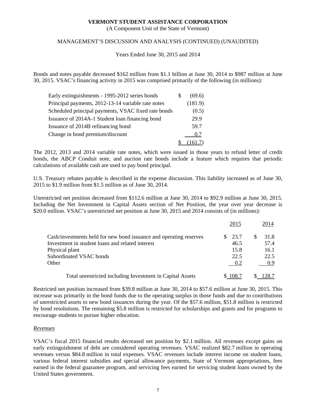(A Component Unit of the State of Vermont)

### MANAGEMENT'S DISCUSSION AND ANALYSIS (CONTINUED) (UNAUDITED)

Years Ended June 30, 2015 and 2014

Bonds and notes payable decreased \$162 million from \$1.1 billion at June 30, 2014 to \$987 million at June 30, 2015. VSAC's financing activity in 2015 was comprised primarily of the following (in millions):

| Early extinguishments - 1995-2012 series bonds      | (69.6)  |
|-----------------------------------------------------|---------|
| Principal payments, 2012-13-14 variable rate notes  | (181.9) |
| Scheduled principal payments, VSAC fixed rate bonds | (0.5)   |
| Issuance of 2014A-1 Student loan financing bond     | 29.9    |
| Issuance of 2014B refinancing bond                  | 59.7    |
| Change in bond premium/discount                     | 0.7     |
|                                                     | .61.7   |

The 2012, 2013 and 2014 variable rate notes, which were issued in those years to refund letter of credit bonds, the ABCP Conduit note, and auction rate bonds include a feature which requires that periodic calculations of available cash are used to pay bond principal.

U.S. Treasury rebates payable is described in the expense discussion. This liability increased as of June 30, 2015 to \$1.9 million from \$1.5 million as of June 30, 2014.

Unrestricted net position decreased from \$112.6 million at June 30, 2014 to \$92.9 million at June 30, 2015. Including the Net Investment in Capital Assets section of Net Position, the year over year decrease is \$20.0 million. VSAC's unrestricted net position at June 30, 2015 and 2014 consists of (in millions):

|                                                                    | 2015  | 2014  |
|--------------------------------------------------------------------|-------|-------|
| Cash/investments held for new bond issuance and operating reserves | 23.7  | 31.8  |
| Investment in student loans and related interest                   | 46.5  | 57.4  |
| Physical plant                                                     | 15.8  | 16.1  |
| Subordinated VSAC bonds                                            | 22.5  | 22.5  |
| Other                                                              | 0.2   | 09    |
| Total unrestricted including Investment in Capital Assets          | 108.7 | 128.7 |

Restricted net position increased from \$39.8 million at June 30, 2014 to \$57.6 million at June 30, 2015. This increase was primarily in the bond funds due to the operating surplus in those funds and due to contributions of unrestricted assets to new bond issuances during the year. Of the \$57.6 million, \$51.8 million is restricted by bond resolutions. The remaining \$5.8 million is restricted for scholarships and grants and for programs to encourage students to pursue higher education.

### *Revenues*

VSAC's fiscal 2015 financial results decreased net position by \$2.1 million. All revenues except gains on early extinguishment of debt are considered operating revenues. VSAC realized \$82.7 million in operating revenues versus \$84.8 million in total expenses. VSAC revenues include interest income on student loans, various federal interest subsidies and special allowance payments, State of Vermont appropriations, fees earned in the federal guarantee program, and servicing fees earned for servicing student loans owned by the United States government.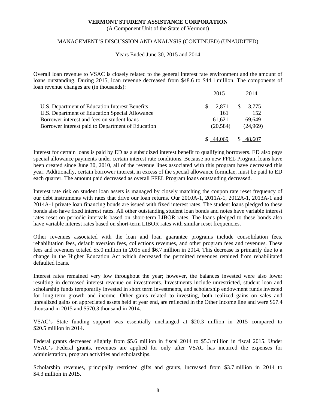(A Component Unit of the State of Vermont)

### MANAGEMENT'S DISCUSSION AND ANALYSIS (CONTINUED) (UNAUDITED)

Years Ended June 30, 2015 and 2014

Overall loan revenue to VSAC is closely related to the general interest rate environment and the amount of loans outstanding. During 2015, loan revenue decreased from \$48.6 to \$44.1 million. The components of loan revenue changes are (in thousands):

|                                                   | 2015        | 2014                |
|---------------------------------------------------|-------------|---------------------|
| U.S. Department of Education Interest Benefits    | 2.871<br>S. | $\frac{1}{2}$ 3,775 |
| U.S. Department of Education Special Allowance    | 161         | 152                 |
| Borrower interest and fees on student loans       | 61.621      | 69.649              |
| Borrower interest paid to Department of Education | (20.584)    | (24,969)            |
|                                                   |             |                     |

Interest for certain loans is paid by ED as a subsidized interest benefit to qualifying borrowers. ED also pays special allowance payments under certain interest rate conditions. Because no new FFEL Program loans have been created since June 30, 2010, all of the revenue lines associated with this program have decreased this year. Additionally, certain borrower interest, in excess of the special allowance formulae, must be paid to ED each quarter. The amount paid decreased as overall FFEL Program loans outstanding decreased.

Interest rate risk on student loan assets is managed by closely matching the coupon rate reset frequency of our debt instruments with rates that drive our loan returns. Our 2010A-1, 2011A-1, 2012A-1, 2013A-1 and 2014A-1 private loan financing bonds are issued with fixed interest rates. The student loans pledged to these bonds also have fixed interest rates. All other outstanding student loan bonds and notes have variable interest rates reset on periodic intervals based on short-term LIBOR rates. The loans pledged to these bonds also have variable interest rates based on short-term LIBOR rates with similar reset frequencies.

Other revenues associated with the loan and loan guarantee programs include consolidation fees, rehabilitation fees, default aversion fees, collections revenues, and other program fees and revenues. These fees and revenues totaled \$5.0 million in 2015 and \$6.7 million in 2014. This decrease is primarily due to a change in the Higher Education Act which decreased the permitted revenues retained from rehabilitated defaulted loans.

Interest rates remained very low throughout the year; however, the balances invested were also lower resulting in decreased interest revenue on investments. Investments include unrestricted, student loan and scholarship funds temporarily invested in short term investments, and scholarship endowment funds invested for long-term growth and income. Other gains related to investing, both realized gains on sales and unrealized gains on appreciated assets held at year end, are reflected in the Other Income line and were \$67.4 thousand in 2015 and \$570.3 thousand in 2014.

VSAC's State funding support was essentially unchanged at \$20.3 million in 2015 compared to \$20.5 million in 2014.

Federal grants decreased slightly from \$5.6 million in fiscal 2014 to \$5.3 million in fiscal 2015. Under VSAC's Federal grants, revenues are applied for only after VSAC has incurred the expenses for administration, program activities and scholarships.

Scholarship revenues, principally restricted gifts and grants, increased from \$3.7 million in 2014 to \$4.3 million in 2015.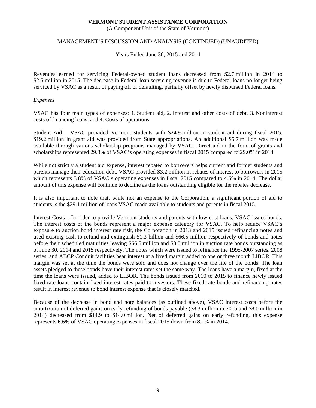(A Component Unit of the State of Vermont)

### MANAGEMENT'S DISCUSSION AND ANALYSIS (CONTINUED) (UNAUDITED)

Years Ended June 30, 2015 and 2014

Revenues earned for servicing Federal-owned student loans decreased from \$2.7 million in 2014 to \$2.5 million in 2015. The decrease in Federal loan servicing revenue is due to Federal loans no longer being serviced by VSAC as a result of paying off or defaulting, partially offset by newly disbursed Federal loans.

### *Expenses*

VSAC has four main types of expenses: 1. Student aid, 2. Interest and other costs of debt, 3. Noninterest costs of financing loans, and 4. Costs of operations.

Student Aid – VSAC provided Vermont students with \$24.9 million in student aid during fiscal 2015. \$19.2 million in grant aid was provided from State appropriations. An additional \$5.7 million was made available through various scholarship programs managed by VSAC. Direct aid in the form of grants and scholarships represented 29.3% of VSAC's operating expenses in fiscal 2015 compared to 29.0% in 2014.

While not strictly a student aid expense, interest rebated to borrowers helps current and former students and parents manage their education debt. VSAC provided \$3.2 million in rebates of interest to borrowers in 2015 which represents 3.8% of VSAC's operating expenses in fiscal 2015 compared to 4.6% in 2014. The dollar amount of this expense will continue to decline as the loans outstanding eligible for the rebates decrease.

It is also important to note that, while not an expense to the Corporation, a significant portion of aid to students is the \$29.1 million of loans VSAC made available to students and parents in fiscal 2015.

Interest Costs – In order to provide Vermont students and parents with low cost loans, VSAC issues bonds. The interest costs of the bonds represent a major expense category for VSAC. To help reduce VSAC's exposure to auction bond interest rate risk, the Corporation in 2013 and 2015 issued refinancing notes and used existing cash to refund and extinguish \$1.3 billion and \$66.5 million respectively of bonds and notes before their scheduled maturities leaving \$66.5 million and \$0.0 million in auction rate bonds outstanding as of June 30, 2014 and 2015 respectively. The notes which were issued to refinance the 1995-2007 series, 2008 series, and ABCP Conduit facilities bear interest at a fixed margin added to one or three month LIBOR. This margin was set at the time the bonds were sold and does not change over the life of the bonds. The loan assets pledged to these bonds have their interest rates set the same way. The loans have a margin, fixed at the time the loans were issued, added to LIBOR. The bonds issued from 2010 to 2015 to finance newly issued fixed rate loans contain fixed interest rates paid to investors. These fixed rate bonds and refinancing notes result in interest revenue to bond interest expense that is closely matched.

Because of the decrease in bond and note balances (as outlined above), VSAC interest costs before the amortization of deferred gains on early refunding of bonds payable (\$8.3 million in 2015 and \$8.0 million in 2014) decreased from \$14.9 to \$14.0 million. Net of deferred gains on early refunding, this expense represents 6.6% of VSAC operating expenses in fiscal 2015 down from 8.1% in 2014.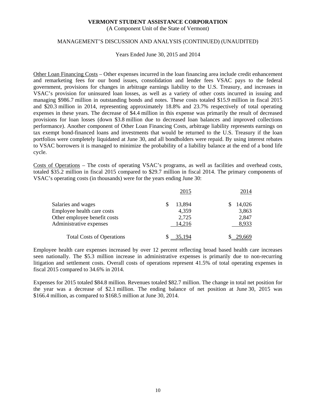(A Component Unit of the State of Vermont)

### MANAGEMENT'S DISCUSSION AND ANALYSIS (CONTINUED) (UNAUDITED)

Years Ended June 30, 2015 and 2014

Other Loan Financing Costs – Other expenses incurred in the loan financing area include credit enhancement and remarketing fees for our bond issues, consolidation and lender fees VSAC pays to the federal government, provisions for changes in arbitrage earnings liability to the U.S. Treasury, and increases in VSAC's provision for uninsured loan losses, as well as a variety of other costs incurred in issuing and managing \$986.7 million in outstanding bonds and notes. These costs totaled \$15.9 million in fiscal 2015 and \$20.3 million in 2014, representing approximately 18.8% and 23.7% respectively of total operating expenses in these years. The decrease of \$4.4 million in this expense was primarily the result of decreased provisions for loan losses (down \$3.8 million due to decreased loan balances and improved collections performance). Another component of Other Loan Financing Costs, arbitrage liability represents earnings on tax exempt bond-financed loans and investments that would be returned to the U.S. Treasury if the loan portfolios were completely liquidated at June 30, and all bondholders were repaid. By using interest rebates to VSAC borrowers it is managed to minimize the probability of a liability balance at the end of a bond life cycle.

Costs of Operations – The costs of operating VSAC's programs, as well as facilities and overhead costs, totaled \$35.2 million in fiscal 2015 compared to \$29.7 million in fiscal 2014. The primary components of VSAC's operating costs (in thousands) were for the years ending June 30:

|                                  | 2015   | 2014   |
|----------------------------------|--------|--------|
| Salaries and wages               | 13,894 | 14,026 |
| Employee health care costs       | 4,359  | 3,863  |
| Other employee benefit costs     | 2,725  | 2,847  |
| Administrative expenses          | 14,216 | 8,933  |
| <b>Total Costs of Operations</b> |        |        |

Employee health care expenses increased by over 12 percent reflecting broad based health care increases seen nationally. The \$5.3 million increase in administrative expenses is primarily due to non-recurring litigation and settlement costs. Overall costs of operations represent 41.5% of total operating expenses in fiscal 2015 compared to 34.6% in 2014.

Expenses for 2015 totaled \$84.8 million. Revenues totaled \$82.7 million. The change in total net position for the year was a decrease of \$2.1 million. The ending balance of net position at June 30, 2015 was \$166.4 million, as compared to \$168.5 million at June 30, 2014.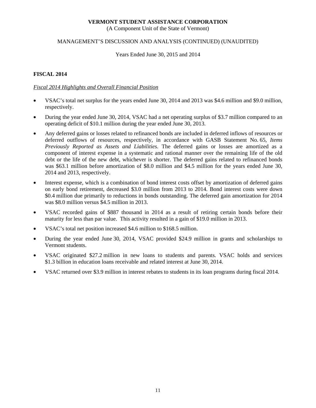(A Component Unit of the State of Vermont)

### MANAGEMENT'S DISCUSSION AND ANALYSIS (CONTINUED) (UNAUDITED)

Years Ended June 30, 2015 and 2014

### **FISCAL 2014**

### *Fiscal 2014 Highlights and Overall Financial Position*

- VSAC's total net surplus for the years ended June 30, 2014 and 2013 was \$4.6 million and \$9.0 million, respectively.
- During the year ended June 30, 2014, VSAC had a net operating surplus of \$3.7 million compared to an operating deficit of \$10.1 million during the year ended June 30, 2013.
- Any deferred gains or losses related to refinanced bonds are included in deferred inflows of resources or deferred outflows of resources, respectively, in accordance with GASB Statement No. 65, *Items Previously Reported as Assets and Liabilities.* The deferred gains or losses are amortized as a component of interest expense in a systematic and rational manner over the remaining life of the old debt or the life of the new debt, whichever is shorter. The deferred gains related to refinanced bonds was \$63.1 million before amortization of \$8.0 million and \$4.5 million for the years ended June 30, 2014 and 2013, respectively.
- Interest expense, which is a combination of bond interest costs offset by amortization of deferred gains on early bond retirement, decreased \$3.0 million from 2013 to 2014. Bond interest costs were down \$0.4 million due primarily to reductions in bonds outstanding. The deferred gain amortization for 2014 was \$8.0 million versus \$4.5 million in 2013.
- VSAC recorded gains of \$887 thousand in 2014 as a result of retiring certain bonds before their maturity for less than par value. This activity resulted in a gain of \$19.0 million in 2013.
- VSAC's total net position increased \$4.6 million to \$168.5 million.
- During the year ended June 30, 2014, VSAC provided \$24.9 million in grants and scholarships to Vermont students.
- VSAC originated \$27.2 million in new loans to students and parents. VSAC holds and services \$1.3 billion in education loans receivable and related interest at June 30, 2014.
- VSAC returned over \$3.9 million in interest rebates to students in its loan programs during fiscal 2014.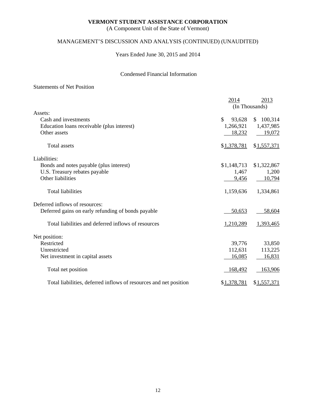(A Component Unit of the State of Vermont)

# MANAGEMENT'S DISCUSSION AND ANALYSIS (CONTINUED) (UNAUDITED)

Years Ended June 30, 2015 and 2014

### Condensed Financial Information

### Statements of Net Position

|                                                                   | 2014<br>(In Thousands) | 2013          |
|-------------------------------------------------------------------|------------------------|---------------|
| Assets:                                                           |                        |               |
| Cash and investments                                              | \$<br>93,628           | \$<br>100,314 |
| Education loans receivable (plus interest)                        | 1,266,921              | 1,437,985     |
| Other assets                                                      | 18,232                 | 19,072        |
| <b>Total</b> assets                                               | \$1,378,781            | \$1,557,371   |
| Liabilities:                                                      |                        |               |
| Bonds and notes payable (plus interest)                           | \$1,148,713            | \$1,322,867   |
| U.S. Treasury rebates payable                                     | 1,467                  | 1,200         |
| Other liabilities                                                 | 9,456                  | 10,794        |
| <b>Total liabilities</b>                                          | 1,159,636              | 1,334,861     |
| Deferred inflows of resources:                                    |                        |               |
| Deferred gains on early refunding of bonds payable                | 50,653                 | 58,604        |
| Total liabilities and deferred inflows of resources               | 1,210,289              | 1,393,465     |
| Net position:                                                     |                        |               |
| Restricted                                                        | 39,776                 | 33,850        |
| Unrestricted                                                      | 112,631                | 113,225       |
| Net investment in capital assets                                  | 16,085                 | 16,831        |
| Total net position                                                | 168,492                | 163,906       |
| Total liabilities, deferred inflows of resources and net position | \$1,378,781            | \$1,557,371   |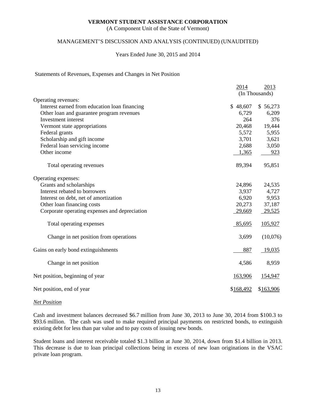(A Component Unit of the State of Vermont)

### MANAGEMENT'S DISCUSSION AND ANALYSIS (CONTINUED) (UNAUDITED)

### Years Ended June 30, 2015 and 2014

### Statements of Revenues, Expenses and Changes in Net Position

|                                               | 2014      | 2013           |
|-----------------------------------------------|-----------|----------------|
|                                               |           | (In Thousands) |
| Operating revenues:                           |           |                |
| Interest earned from education loan financing | \$48,607  | \$56,273       |
| Other loan and guarantee program revenues     | 6,729     | 6,209          |
| Investment interest                           | 264       | 376            |
| Vermont state appropriations                  | 20,468    | 19,444         |
| Federal grants                                | 5,572     | 5,955          |
| Scholarship and gift income                   | 3,701     | 3,621          |
| Federal loan servicing income                 | 2,688     | 3,050          |
| Other income                                  | 1,365     | 923            |
| Total operating revenues                      | 89,394    | 95,851         |
| Operating expenses:                           |           |                |
| Grants and scholarships                       | 24,896    | 24,535         |
| Interest rebated to borrowers                 | 3,937     | 4,727          |
| Interest on debt, net of amortization         | 6,920     | 9,953          |
| Other loan financing costs                    | 20,273    | 37,187         |
| Corporate operating expenses and depreciation | 29,669    | 29,525         |
| Total operating expenses                      | 85,695    | 105,927        |
| Change in net position from operations        | 3,699     | (10,076)       |
| Gains on early bond extinguishments           | 887       | 19,035         |
| Change in net position                        | 4,586     | 8,959          |
| Net position, beginning of year               | 163,906   | 154,947        |
| Net position, end of year                     | \$168,492 | \$163,906      |

#### *Net Position*

Cash and investment balances decreased \$6.7 million from June 30, 2013 to June 30, 2014 from \$100.3 to \$93.6 million. The cash was used to make required principal payments on restricted bonds, to extinguish existing debt for less than par value and to pay costs of issuing new bonds.

Student loans and interest receivable totaled \$1.3 billion at June 30, 2014, down from \$1.4 billion in 2013. This decrease is due to loan principal collections being in excess of new loan originations in the VSAC private loan program.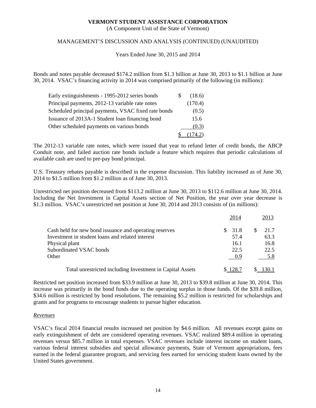(A Component Unit of the State of Vermont)

### MANAGEMENT'S DISCUSSION AND ANALYSIS (CONTINUED) (UNAUDITED)

Years Ended June 30, 2015 and 2014

Bonds and notes payable decreased \$174.2 million from \$1.3 billion at June 30, 2013 to \$1.1 billion at June 30, 2014. VSAC's financing activity in 2014 was comprised primarily of the following (in millions):

| Early extinguishments - 1995-2012 series bonds      | S. | (18.6)  |
|-----------------------------------------------------|----|---------|
| Principal payments, 2012-13 variable rate notes     |    | (170.4) |
| Scheduled principal payments, VSAC fixed rate bonds |    | (0.5)   |
| Issuance of 2013A-1 Student loan financing bond     |    | 15.6    |
| Other scheduled payments on various bonds           |    | (0.3)   |
|                                                     |    | 174.2)  |

The 2012-13 variable rate notes, which were issued that year to refund letter of credit bonds, the ABCP Conduit note, and failed auction rate bonds include a feature which requires that periodic calculations of available cash are used to pre-pay bond principal.

U.S. Treasury rebates payable is described in the expense discussion. This liability increased as of June 30, 2014 to \$1.5 million from \$1.2 million as of June 30, 2013.

Unrestricted net position decreased from \$113.2 million at June 30, 2013 to \$112.6 million at June 30, 2014. Including the Net Investment in Capital Assets section of Net Position, the year over year decrease is \$1.3 million. VSAC's unrestricted net position at June 30, 2014 and 2013 consists of (in millions):

|                                                           | 2014  | 2013 |
|-----------------------------------------------------------|-------|------|
| Cash held for new bond issuance and operating reserves    | 31.8  | 21.7 |
| Investment in student loans and related interest          | 57.4  | 63.3 |
| Physical plant                                            | 16.1  | 16.8 |
| Subordinated VSAC bonds                                   | 22.5  | 22.5 |
| Other                                                     | -0.9  | 5.8  |
| Total unrestricted including Investment in Capital Assets | 128.7 | 30.  |

Restricted net position increased from \$33.9 million at June 30, 2013 to \$39.8 million at June 30, 2014. This increase was primarily in the bond funds due to the operating surplus in those funds. Of the \$39.8 million, \$34.6 million is restricted by bond resolutions. The remaining \$5.2 million is restricted for scholarships and grants and for programs to encourage students to pursue higher education.

#### *Revenues*

VSAC's fiscal 2014 financial results increased net position by \$4.6 million. All revenues except gains on early extinguishment of debt are considered operating revenues. VSAC realized \$89.4 million in operating revenues versus \$85.7 million in total expenses. VSAC revenues include interest income on student loans, various federal interest subsidies and special allowance payments, State of Vermont appropriations, fees earned in the federal guarantee program, and servicing fees earned for servicing student loans owned by the United States government.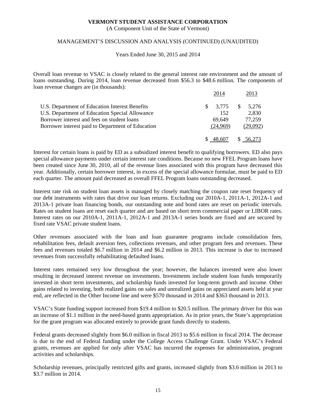(A Component Unit of the State of Vermont)

### MANAGEMENT'S DISCUSSION AND ANALYSIS (CONTINUED) (UNAUDITED)

Years Ended June 30, 2015 and 2014

Overall loan revenue to VSAC is closely related to the general interest rate environment and the amount of loans outstanding. During 2014, loan revenue decreased from \$56.3 to \$48.6 million. The components of loan revenue changes are (in thousands):

|                                                   | 2014          | 2013         |
|---------------------------------------------------|---------------|--------------|
| U.S. Department of Education Interest Benefits    | 3.775<br>SS.  | -SS<br>5,276 |
| U.S. Department of Education Special Allowance    | 152           | 2,830        |
| Borrower interest and fees on student loans       | 69.649        | 77,259       |
| Borrower interest paid to Department of Education | (24.969)      | (29,092)     |
|                                                   | SS.<br>48.607 | \$ 56,273    |

Interest for certain loans is paid by ED as a subsidized interest benefit to qualifying borrowers. ED also pays special allowance payments under certain interest rate conditions. Because no new FFEL Program loans have been created since June 30, 2010, all of the revenue lines associated with this program have decreased this year. Additionally, certain borrower interest, in excess of the special allowance formulae, must be paid to ED each quarter. The amount paid decreased as overall FFEL Program loans outstanding decreased.

Interest rate risk on student loan assets is managed by closely matching the coupon rate reset frequency of our debt instruments with rates that drive our loan returns. Excluding our 2010A-1, 2011A-1, 2012A-1 and 2013A-1 private loan financing bonds, our outstanding note and bond rates are reset on periodic intervals. Rates on student loans are reset each quarter and are based on short term commercial paper or LIBOR rates. Interest rates on our 2010A-1, 2011A-1, 2012A-1 and 2013A-1 series bonds are fixed and are secured by fixed rate VSAC private student loans.

Other revenues associated with the loan and loan guarantee programs include consolidation fees, rehabilitation fees, default aversion fees, collections revenues, and other program fees and revenues. These fees and revenues totaled \$6.7 million in 2014 and \$6.2 million in 2013. This increase is due to increased revenues from successfully rehabilitating defaulted loans.

Interest rates remained very low throughout the year; however, the balances invested were also lower resulting in decreased interest revenue on investments. Investments include student loan funds temporarily invested in short term investments, and scholarship funds invested for long-term growth and income. Other gains related to investing, both realized gains on sales and unrealized gains on appreciated assets held at year end, are reflected in the Other Income line and were \$570 thousand in 2014 and \$363 thousand in 2013.

VSAC's State funding support increased from \$19.4 million to \$20.5 million. The primary driver for this was an increase of \$1.1 million in the need-based grants appropriation. As in prior years, the State's appropriation for the grant program was allocated entirely to provide grant funds directly to students.

Federal grants decreased slightly from \$6.0 million in fiscal 2013 to \$5.6 million in fiscal 2014. The decrease is due to the end of Federal funding under the College Access Challenge Grant. Under VSAC's Federal grants, revenues are applied for only after VSAC has incurred the expenses for administration, program activities and scholarships.

Scholarship revenues, principally restricted gifts and grants, increased slightly from \$3.6 million in 2013 to \$3.7 million in 2014.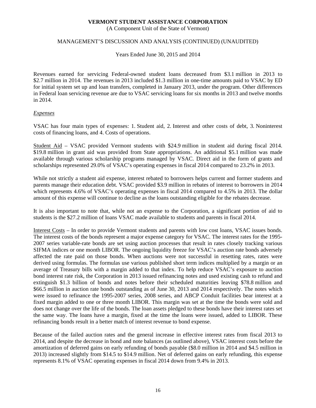(A Component Unit of the State of Vermont)

### MANAGEMENT'S DISCUSSION AND ANALYSIS (CONTINUED) (UNAUDITED)

Years Ended June 30, 2015 and 2014

Revenues earned for servicing Federal-owned student loans decreased from \$3.1 million in 2013 to \$2.7 million in 2014. The revenues in 2013 included \$1.3 million in one-time amounts paid to VSAC by ED for initial system set up and loan transfers, completed in January 2013, under the program. Other differences in Federal loan servicing revenue are due to VSAC servicing loans for six months in 2013 and twelve months in 2014.

### *Expenses*

VSAC has four main types of expenses: 1. Student aid, 2. Interest and other costs of debt, 3. Noninterest costs of financing loans, and 4. Costs of operations.

Student Aid – VSAC provided Vermont students with \$24.9 million in student aid during fiscal 2014. \$19.8 million in grant aid was provided from State appropriations. An additional \$5.1 million was made available through various scholarship programs managed by VSAC. Direct aid in the form of grants and scholarships represented 29.0% of VSAC's operating expenses in fiscal 2014 compared to 23.2% in 2013.

While not strictly a student aid expense, interest rebated to borrowers helps current and former students and parents manage their education debt. VSAC provided \$3.9 million in rebates of interest to borrowers in 2014 which represents 4.6% of VSAC's operating expenses in fiscal 2014 compared to 4.5% in 2013. The dollar amount of this expense will continue to decline as the loans outstanding eligible for the rebates decrease.

It is also important to note that, while not an expense to the Corporation, a significant portion of aid to students is the \$27.2 million of loans VSAC made available to students and parents in fiscal 2014.

Interest Costs – In order to provide Vermont students and parents with low cost loans, VSAC issues bonds. The interest costs of the bonds represent a major expense category for VSAC. The interest rates for the 1995- 2007 series variable-rate bonds are set using auction processes that result in rates closely tracking various SIFMA indices or one month LIBOR. The ongoing liquidity freeze for VSAC's auction rate bonds adversely affected the rate paid on those bonds. When auctions were not successful in resetting rates, rates were derived using formulas. The formulas use various published short term indices multiplied by a margin or an average of Treasury bills with a margin added to that index. To help reduce VSAC's exposure to auction bond interest rate risk, the Corporation in 2013 issued refinancing notes and used existing cash to refund and extinguish \$1.3 billion of bonds and notes before their scheduled maturities leaving \$78.8 million and \$66.5 million in auction rate bonds outstanding as of June 30, 2013 and 2014 respectively. The notes which were issued to refinance the 1995-2007 series, 2008 series, and ABCP Conduit facilities bear interest at a fixed margin added to one or three month LIBOR. This margin was set at the time the bonds were sold and does not change over the life of the bonds. The loan assets pledged to these bonds have their interest rates set the same way. The loans have a margin, fixed at the time the loans were issued, added to LIBOR. These refinancing bonds result in a better match of interest revenue to bond expense.

Because of the failed auction rates and the general increase in effective interest rates from fiscal 2013 to 2014, and despite the decrease in bond and note balances (as outlined above), VSAC interest costs before the amortization of deferred gains on early refunding of bonds payable (\$8.0 million in 2014 and \$4.5 million in 2013) increased slightly from \$14.5 to \$14.9 million. Net of deferred gains on early refunding, this expense represents 8.1% of VSAC operating expenses in fiscal 2014 down from 9.4% in 2013.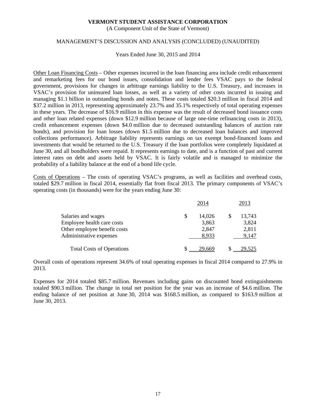(A Component Unit of the State of Vermont)

### MANAGEMENT'S DISCUSSION AND ANALYSIS (CONCLUDED) (UNAUDITED)

Years Ended June 30, 2015 and 2014

Other Loan Financing Costs – Other expenses incurred in the loan financing area include credit enhancement and remarketing fees for our bond issues, consolidation and lender fees VSAC pays to the federal government, provisions for changes in arbitrage earnings liability to the U.S. Treasury, and increases in VSAC's provision for uninsured loan losses, as well as a variety of other costs incurred in issuing and managing \$1.1 billion in outstanding bonds and notes. These costs totaled \$20.3 million in fiscal 2014 and \$37.2 million in 2013, representing approximately 23.7% and 35.1% respectively of total operating expenses in these years. The decrease of \$16.9 million in this expense was the result of decreased bond issuance costs and other loan related expenses (down \$12.9 million because of large one-time refinancing costs in 2013), credit enhancement expenses (down \$4.0 million due to decreased outstanding balances of auction rate bonds), and provision for loan losses (down \$1.5 million due to decreased loan balances and improved collections performance). Arbitrage liability represents earnings on tax exempt bond-financed loans and investments that would be returned to the U.S. Treasury if the loan portfolios were completely liquidated at June 30, and all bondholders were repaid. It represents earnings to date, and is a function of past and current interest rates on debt and assets held by VSAC. It is fairly volatile and is managed to minimize the probability of a liability balance at the end of a bond life cycle.

Costs of Operations – The costs of operating VSAC's programs, as well as facilities and overhead costs, totaled \$29.7 million in fiscal 2014, essentially flat from fiscal 2013. The primary components of VSAC's operating costs (in thousands) were for the years ending June 30:

|                                  |   | 2014   | 2013          |
|----------------------------------|---|--------|---------------|
| Salaries and wages               | S | 14,026 | 13,743        |
| Employee health care costs       |   | 3,863  | 3,824         |
| Other employee benefit costs     |   | 2,847  | 2,811         |
| Administrative expenses          |   | 8,933  | 9,147         |
| <b>Total Costs of Operations</b> |   | 29,669 | <u>29,525</u> |

Overall costs of operations represent 34.6% of total operating expenses in fiscal 2014 compared to 27.9% in 2013.

Expenses for 2014 totaled \$85.7 million. Revenues including gains on discounted bond extinguishments totaled \$90.3 million. The change in total net position for the year was an increase of \$4.6 million. The ending balance of net position at June 30, 2014 was \$168.5 million, as compared to \$163.9 million at June 30, 2013.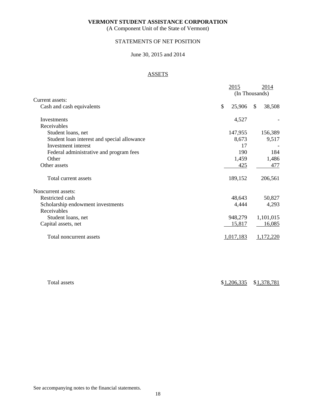(A Component Unit of the State of Vermont)

### STATEMENTS OF NET POSITION

### June 30, 2015 and 2014

### ASSETS

|                                             | 2015         | 2014                   |
|---------------------------------------------|--------------|------------------------|
|                                             |              | (In Thousands)         |
| Current assets:                             |              |                        |
| Cash and cash equivalents                   | \$<br>25,906 | 38,508<br>$\mathbb{S}$ |
| Investments                                 | 4,527        |                        |
| Receivables                                 |              |                        |
| Student loans, net                          | 147,955      | 156,389                |
| Student loan interest and special allowance | 8,673        | 9,517                  |
| Investment interest                         | 17           |                        |
| Federal administrative and program fees     | 190          | 184                    |
| Other                                       | 1,459        | 1,486                  |
| Other assets                                | 425          | 477                    |
| Total current assets                        | 189,152      | 206,561                |
| Noncurrent assets:                          |              |                        |
| Restricted cash                             | 48,643       | 50,827                 |
| Scholarship endowment investments           | 4,444        | 4,293                  |
| Receivables                                 |              |                        |
| Student loans, net                          | 948,279      | 1,101,015              |
| Capital assets, net                         | 15,817       | 16,085                 |
| Total noncurrent assets                     | 1,017,183    | 1,172,220              |
|                                             |              |                        |
|                                             |              |                        |

Total assets  $$1,206,335$   $$1,378,781$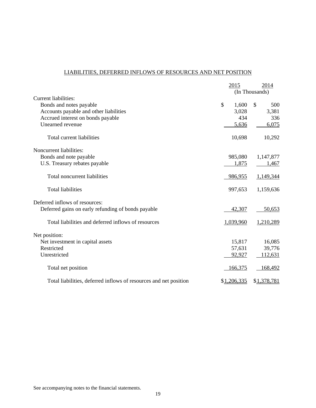# LIABILITIES, DEFERRED INFLOWS OF RESOURCES AND NET POSITION

|                                                                   | 2015           | 2014        |
|-------------------------------------------------------------------|----------------|-------------|
|                                                                   | (In Thousands) |             |
| Current liabilities:                                              |                |             |
| Bonds and notes payable                                           | \$<br>1,600    | \$<br>500   |
| Accounts payable and other liabilities                            | 3,028          | 3,381       |
| Accrued interest on bonds payable                                 | 434            | 336         |
| Unearned revenue                                                  | 5,636          | 6,075       |
| Total current liabilities                                         | 10,698         | 10,292      |
| Noncurrent liabilities:                                           |                |             |
| Bonds and note payable                                            | 985,080        | 1,147,877   |
| U.S. Treasury rebates payable                                     | 1,875          | 1,467       |
| Total noncurrent liabilities                                      | 986,955        | 1,149,344   |
| <b>Total liabilities</b>                                          | 997,653        | 1,159,636   |
| Deferred inflows of resources:                                    |                |             |
| Deferred gains on early refunding of bonds payable                | 42,307         | 50,653      |
| Total liabilities and deferred inflows of resources               | 1,039,960      | 1,210,289   |
| Net position:                                                     |                |             |
| Net investment in capital assets                                  | 15,817         | 16,085      |
| Restricted                                                        | 57,631         | 39,776      |
| Unrestricted                                                      | 92,927         | 112,631     |
| Total net position                                                | 166,375        | 168,492     |
| Total liabilities, deferred inflows of resources and net position | \$1,206,335    | \$1,378,781 |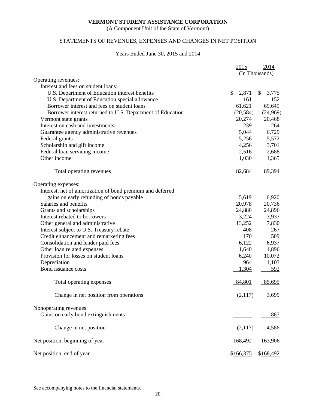(A Component Unit of the State of Vermont)

# STATEMENTS OF REVENUES, EXPENSES AND CHANGES IN NET POSITION

### Years Ended June 30, 2015 and 2014

|                                                            | 2015         |                |              | 2014      |
|------------------------------------------------------------|--------------|----------------|--------------|-----------|
|                                                            |              | (In Thousands) |              |           |
| Operating revenues:                                        |              |                |              |           |
| Interest and fees on student loans:                        |              |                |              |           |
| U.S. Department of Education interest benefits             | $\mathbb{S}$ | 2,871          | $\mathbb{S}$ | 3,775     |
| U.S. Department of Education special allowance             |              | 161            |              | 152       |
| Borrower interest and fees on student loans                |              | 61,621         |              | 69,649    |
| Borrower interest returned to U.S. Department of Education |              | (20, 584)      |              | (24,969)  |
| Vermont state grants                                       |              | 20,274         |              | 20,468    |
| Interest on cash and investments                           |              | 239            |              | 264       |
| Guarantee agency administrative revenues                   |              | 5,044          |              | 6,729     |
| Federal grants                                             |              | 5,256          |              | 5,572     |
| Scholarship and gift income                                |              | 4,256          |              | 3,701     |
| Federal loan servicing income                              |              | 2,516          |              | 2,688     |
| Other income                                               |              | 1,030          |              | 1,365     |
| Total operating revenues                                   |              | 82,684         |              | 89,394    |
| Operating expenses:                                        |              |                |              |           |
| Interest, net of amortization of bond premium and deferred |              |                |              |           |
| gains on early refunding of bonds payable                  |              | 5,619          |              | 6,920     |
| Salaries and benefits                                      |              | 20,978         |              | 20,736    |
| Grants and scholarships                                    |              | 24,880         |              | 24,896    |
| Interest rebated to borrowers                              |              | 3,224          |              | 3,937     |
| Other general and administrative                           |              | 13,252         |              | 7,830     |
| Interest subject to U.S. Treasury rebate                   |              | 408            |              | 267       |
| Credit enhancement and remarketing fees                    |              | 170            |              | 509       |
| Consolidation and lender paid fees                         |              | 6,122          |              | 6,937     |
| Other loan related expenses                                |              | 1,640          |              | 1,896     |
| Provision for losses on student loans                      |              | 6,240          |              | 10,072    |
| Depreciation                                               |              | 964            |              | 1,103     |
| Bond issuance costs                                        |              | 1,304          |              | 592       |
| Total operating expenses                                   | 84,801       |                |              | 85,695    |
| Change in net position from operations                     |              | (2,117)        |              | 3,699     |
| Nonoperating revenues:                                     |              |                |              |           |
| Gains on early bond extinguishments                        |              |                |              | 887       |
| Change in net position                                     |              | (2,117)        |              | 4,586     |
| Net position, beginning of year                            | 168,492      |                |              | 163,906   |
| Net position, end of year                                  | \$166,375    |                |              | \$168,492 |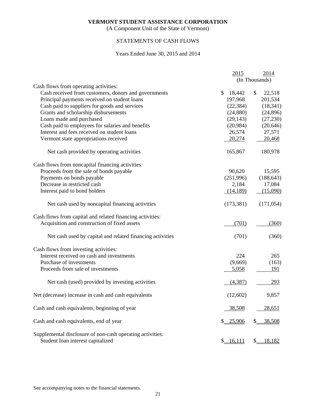(A Component Unit of the State of Vermont)

# STATEMENTS OF CASH FLOWS

### Years Ended June 30, 2015 and 2014

|                                                                                                | 2015                   | 2014           |
|------------------------------------------------------------------------------------------------|------------------------|----------------|
|                                                                                                |                        | (In Thousands) |
| Cash flows from operating activities:                                                          |                        |                |
| Cash received from customers, donors and governments                                           | $\mathbb{S}$<br>18,442 | \$<br>22,518   |
| Principal payments received on student loans                                                   | 197,968                | 201,534        |
| Cash paid to suppliers for goods and services                                                  | (22, 384)              | (18, 341)      |
| Grants and scholarship disbursements                                                           | (24, 880)              | (24,896)       |
| Loans made and purchased                                                                       | (29, 143)              | (27, 230)      |
| Cash paid to employees for salaries and benefits                                               | (20,984)               | (20, 646)      |
| Interest and fees received on student loans                                                    | 26,574                 | 27,571         |
| Vermont state appropriations received                                                          | 20,274                 | 20,468         |
| Net cash provided by operating activities                                                      | 165,867                | 180,978        |
| Cash flows from noncapital financing activities:                                               |                        |                |
| Proceeds from the sale of bonds payable                                                        | 90,620                 | 15,595         |
| Payments on bonds payable                                                                      | (251,996)              | (188, 643)     |
| Decrease in restricted cash                                                                    | 2,184                  | 17,084         |
| Interest paid to bond holders                                                                  | (14, 189)              | (15,090)       |
| Net cash used by noncapital financing activities                                               | (173, 381)             | (171, 054)     |
| Cash flows from capital and related financing activities:                                      |                        |                |
| Acquisition and construction of fixed assets                                                   | (701)                  | (360)          |
| Net cash used by capital and related financing activities                                      | (701)                  | (360)          |
| Cash flows from investing activities:                                                          |                        |                |
| Interest received on cash and investments                                                      | 224                    | 265            |
| Purchase of investments                                                                        | (9,669)                | (163)          |
| Proceeds from sale of investments                                                              | 5,058                  | 191            |
| Net cash (used) provided by investing activities                                               | (4, 387)               | 293            |
| Net (decrease) increase in cash and cash equivalents                                           | (12,602)               | 9,857          |
| Cash and cash equivalents, beginning of year                                                   | 38,508                 | 28,651         |
| Cash and cash equivalents, end of year                                                         | \$ 25,906              | 38,508<br>\$.  |
| Supplemental disclosure of non-cash operating activities:<br>Student loan interest capitalized | \$16,111               | 18,182<br>S    |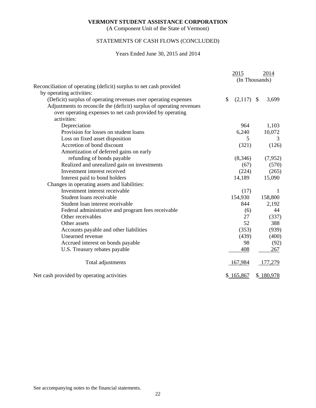(A Component Unit of the State of Vermont)

# STATEMENTS OF CASH FLOWS (CONCLUDED)

### Years Ended June 30, 2015 and 2014

|                                                                      | 2015                     | 2014                |
|----------------------------------------------------------------------|--------------------------|---------------------|
|                                                                      |                          | (In Thousands)      |
| Reconciliation of operating (deficit) surplus to net cash provided   |                          |                     |
| by operating activities:                                             |                          |                     |
| (Deficit) surplus of operating revenues over operating expenses      | $\mathcal{S}$<br>(2,117) | $\sqrt{3}$<br>3,699 |
| Adjustments to reconcile the (deficit) surplus of operating revenues |                          |                     |
| over operating expenses to net cash provided by operating            |                          |                     |
| activities:                                                          |                          |                     |
| Depreciation                                                         | 964                      | 1,103               |
| Provision for losses on student loans                                | 6,240                    | 10,072              |
| Loss on fixed asset disposition                                      | 5                        | 3                   |
| Accretion of bond discount                                           | (321)                    | (126)               |
| Amortization of deferred gains on early                              |                          |                     |
| refunding of bonds payable                                           | (8,346)                  | (7,952)             |
| Realized and unrealized gain on investments                          | (67)                     | (570)               |
| Investment interest received                                         | (224)                    | (265)               |
| Interest paid to bond holders                                        | 14,189                   | 15,090              |
| Changes in operating assets and liabilities:                         |                          |                     |
| Investment interest receivable                                       | (17)                     | 1                   |
| Student loans receivable                                             | 154,930                  | 158,800             |
| Student loan interest receivable                                     | 844                      | 2,192               |
| Federal administrative and program fees receivable                   | (6)                      | 44                  |
| Other receivables                                                    | 27                       | (337)               |
| Other assets                                                         | 52                       | 388                 |
| Accounts payable and other liabilities                               | (353)                    | (939)               |
| Unearned revenue                                                     | (439)                    | (400)               |
| Accrued interest on bonds payable                                    | 98                       | (92)                |
| U.S. Treasury rebates payable                                        | 408                      | 267                 |
| Total adjustments                                                    | 167,984                  | 177,279             |
| Net cash provided by operating activities                            | \$165,867                | \$180,978           |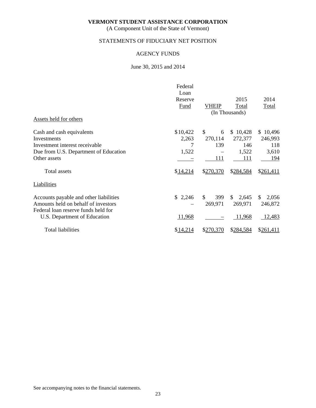(A Component Unit of the State of Vermont)

# STATEMENTS OF FIDUCIARY NET POSITION

### AGENCY FUNDS

### June 30, 2015 and 2014

|                                                                     | Federal<br>Loan |                       |                   |              |
|---------------------------------------------------------------------|-----------------|-----------------------|-------------------|--------------|
|                                                                     | Reserve         |                       | 2015              | 2014         |
|                                                                     | <b>Fund</b>     | <b>VHEIP</b>          | Total             | Total        |
|                                                                     |                 |                       | (In Thousands)    |              |
| Assets held for others                                              |                 |                       |                   |              |
| Cash and cash equivalents                                           | \$10,422        | \$.<br>6              | \$10,428          | \$10,496     |
| Investments                                                         | 2,263           | 270,114               | 272,377           | 246,993      |
| Investment interest receivable                                      | 7               | 139                   | 146               | 118          |
| Due from U.S. Department of Education                               | 1,522           |                       | 1,522             | 3,610        |
| Other assets                                                        |                 | 111                   | 111               | 194          |
| Total assets                                                        | \$14,214        | \$270,370             | \$284,584         | \$261,411    |
| Liabilities                                                         |                 |                       |                   |              |
| Accounts payable and other liabilities                              | \$2,246         | $\mathbb{S}^-$<br>399 | \$2,645           | 2,056<br>\$. |
| Amounts held on behalf of investors                                 |                 | 269,971               | 269,971           | 246,872      |
| Federal loan reserve funds held for<br>U.S. Department of Education | 11,968          |                       | 11,968            | 12,483       |
| <b>Total liabilities</b>                                            | \$14.214        | 70.370                | \$ <u>284,584</u> | \$261,411    |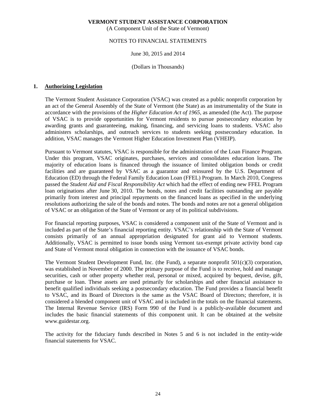(A Component Unit of the State of Vermont)

### NOTES TO FINANCIAL STATEMENTS

### June 30, 2015 and 2014

### (Dollars in Thousands)

### **1. Authorizing Legislation**

 The Vermont Student Assistance Corporation (VSAC) was created as a public nonprofit corporation by an act of the General Assembly of the State of Vermont (the State) as an instrumentality of the State in accordance with the provisions of the *Higher Education Act of 1965*, as amended (the Act). The purpose of VSAC is to provide opportunities for Vermont residents to pursue postsecondary education by awarding grants and guaranteeing, making, financing, and servicing loans to students. VSAC also administers scholarships, and outreach services to students seeking postsecondary education. In addition, VSAC manages the Vermont Higher Education Investment Plan (VHEIP).

 Pursuant to Vermont statutes, VSAC is responsible for the administration of the Loan Finance Program. Under this program, VSAC originates, purchases, services and consolidates education loans. The majority of education loans is financed through the issuance of limited obligation bonds or credit facilities and are guaranteed by VSAC as a guarantor and reinsured by the U.S. Department of Education (ED) through the Federal Family Education Loan (FFEL) Program. In March 2010, Congress passed the *Student Aid and Fiscal Responsibility Act* which had the effect of ending new FFEL Program loan originations after June 30, 2010. The bonds, notes and credit facilities outstanding are payable primarily from interest and principal repayments on the financed loans as specified in the underlying resolutions authorizing the sale of the bonds and notes. The bonds and notes are not a general obligation of VSAC or an obligation of the State of Vermont or any of its political subdivisions.

 For financial reporting purposes, VSAC is considered a component unit of the State of Vermont and is included as part of the State's financial reporting entity. VSAC's relationship with the State of Vermont consists primarily of an annual appropriation designated for grant aid to Vermont students. Additionally, VSAC is permitted to issue bonds using Vermont tax-exempt private activity bond cap and State of Vermont moral obligation in connection with the issuance of VSAC bonds.

The Vermont Student Development Fund, Inc. (the Fund), a separate nonprofit  $501(c)(3)$  corporation, was established in November of 2000. The primary purpose of the Fund is to receive, hold and manage securities, cash or other property whether real, personal or mixed, acquired by bequest, devise, gift, purchase or loan. These assets are used primarily for scholarships and other financial assistance to benefit qualified individuals seeking a postsecondary education. The Fund provides a financial benefit to VSAC, and its Board of Directors is the same as the VSAC Board of Directors; therefore, it is considered a blended component unit of VSAC and is included in the totals on the financial statements. The Internal Revenue Service (IRS) Form 990 of the Fund is a publicly-available document and includes the basic financial statements of this component unit. It can be obtained at the website www.guidestar.org.

The activity for the fiduciary funds described in Notes 5 and 6 is not included in the entity-wide financial statements for VSAC.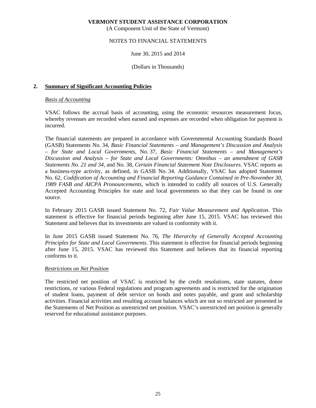(A Component Unit of the State of Vermont)

### NOTES TO FINANCIAL STATEMENTS

### June 30, 2015 and 2014

### (Dollars in Thousands)

### **2. Summary of Significant Accounting Policies**

### *Basis of Accounting*

 VSAC follows the accrual basis of accounting, using the economic resources measurement focus, whereby revenues are recorded when earned and expenses are recorded when obligation for payment is incurred.

 The financial statements are prepared in accordance with Governmental Accounting Standards Board (GASB) Statements No. 34, *Basic Financial Statements – and Management's Discussion and Analysis – for State and Local Governments*, No. 37, *Basic Financial Statements – and Management's Discussion and Analysis – for State and Local Governments: Omnibus – an amendment of GASB Statements No. 21 and 34*, and No. 38, *Certain Financial Statement Note Disclosures*. VSAC reports as a business-type activity, as defined, in GASB No. 34. Additionally, VSAC has adopted Statement No. 62, *Codification of Accounting and Financial Reporting Guidance Contained in Pre-November 30, 1989 FASB and AICPA Pronouncements,* which is intended to codify all sources of U.S. Generally Accepted Accounting Principles for state and local governments so that they can be found in one source.

In February 2015 GASB issued Statement No. 72, *Fair Value Measurement and Application*. This statement is effective for financial periods beginning after June 15, 2015. VSAC has reviewed this Statement and believes that its investments are valued in conformity with it.

 In June 2015 GASB issued Statement No. 76, *The Hierarchy of Generally Accepted Accounting Principles for State and Local Governments*. This statement is effective for financial periods beginning after June 15, 2015. VSAC has reviewed this Statement and believes that its financial reporting conforms to it.

### *Restrictions on Net Position*

 The restricted net position of VSAC is restricted by the credit resolutions, state statutes, donor restrictions, or various Federal regulations and program agreements and is restricted for the origination of student loans, payment of debt service on bonds and notes payable, and grant and scholarship activities. Financial activities and resulting account balances which are not so restricted are presented in the Statements of Net Position as unrestricted net position. VSAC's unrestricted net position is generally reserved for educational assistance purposes.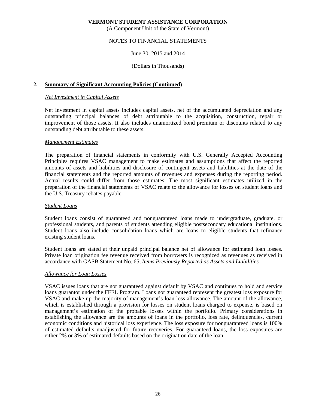(A Component Unit of the State of Vermont)

### NOTES TO FINANCIAL STATEMENTS

### June 30, 2015 and 2014

#### (Dollars in Thousands)

### **2. Summary of Significant Accounting Policies (Continued)**

#### *Net Investment in Capital Assets*

 Net investment in capital assets includes capital assets, net of the accumulated depreciation and any outstanding principal balances of debt attributable to the acquisition, construction, repair or improvement of those assets. It also includes unamortized bond premium or discounts related to any outstanding debt attributable to these assets.

#### *Management Estimates*

 The preparation of financial statements in conformity with U.S. Generally Accepted Accounting Principles requires VSAC management to make estimates and assumptions that affect the reported amounts of assets and liabilities and disclosure of contingent assets and liabilities at the date of the financial statements and the reported amounts of revenues and expenses during the reporting period. Actual results could differ from those estimates. The most significant estimates utilized in the preparation of the financial statements of VSAC relate to the allowance for losses on student loans and the U.S. Treasury rebates payable.

#### *Student Loans*

 Student loans consist of guaranteed and nonguaranteed loans made to undergraduate, graduate, or professional students, and parents of students attending eligible postsecondary educational institutions. Student loans also include consolidation loans which are loans to eligible students that refinance existing student loans.

 Student loans are stated at their unpaid principal balance net of allowance for estimated loan losses. Private loan origination fee revenue received from borrowers is recognized as revenues as received in accordance with GASB Statement No. 65, *Items Previously Reported as Assets and Liabilities.*

#### *Allowance for Loan Losses*

 VSAC issues loans that are not guaranteed against default by VSAC and continues to hold and service loans guarantor under the FFEL Program. Loans not guaranteed represent the greatest loss exposure for VSAC and make up the majority of management's loan loss allowance. The amount of the allowance, which is established through a provision for losses on student loans charged to expense, is based on management's estimation of the probable losses within the portfolio. Primary considerations in establishing the allowance are the amounts of loans in the portfolio, loss rate, delinquencies, current economic conditions and historical loss experience. The loss exposure for nonguaranteed loans is 100% of estimated defaults unadjusted for future recoveries. For guaranteed loans, the loss exposures are either 2% or 3% of estimated defaults based on the origination date of the loan.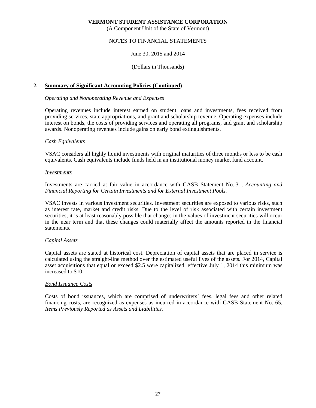(A Component Unit of the State of Vermont)

### NOTES TO FINANCIAL STATEMENTS

### June 30, 2015 and 2014

### (Dollars in Thousands)

### **2. Summary of Significant Accounting Policies (Continued)**

#### *Operating and Nonoperating Revenue and Expenses*

 Operating revenues include interest earned on student loans and investments, fees received from providing services, state appropriations, and grant and scholarship revenue. Operating expenses include interest on bonds, the costs of providing services and operating all programs, and grant and scholarship awards. Nonoperating revenues include gains on early bond extinguishments.

#### *Cash Equivalents*

 VSAC considers all highly liquid investments with original maturities of three months or less to be cash equivalents. Cash equivalents include funds held in an institutional money market fund account.

#### *Investments*

 Investments are carried at fair value in accordance with GASB Statement No. 31, *Accounting and Financial Reporting for Certain Investments and for External Investment Pools*.

 VSAC invests in various investment securities. Investment securities are exposed to various risks, such as interest rate, market and credit risks. Due to the level of risk associated with certain investment securities, it is at least reasonably possible that changes in the values of investment securities will occur in the near term and that these changes could materially affect the amounts reported in the financial statements.

#### *Capital Assets*

 Capital assets are stated at historical cost. Depreciation of capital assets that are placed in service is calculated using the straight-line method over the estimated useful lives of the assets. For 2014, Capital asset acquisitions that equal or exceed \$2.5 were capitalized; effective July 1, 2014 this minimum was increased to \$10.

#### *Bond Issuance Costs*

 Costs of bond issuances, which are comprised of underwriters' fees, legal fees and other related financing costs, are recognized as expenses as incurred in accordance with GASB Statement No. 65, *Items Previously Reported as Assets and Liabilities.*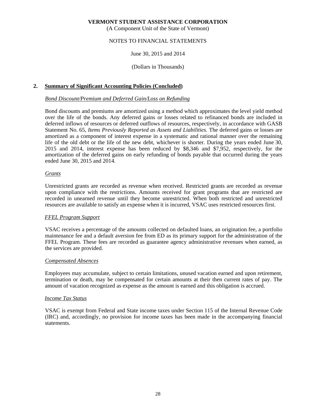(A Component Unit of the State of Vermont)

### NOTES TO FINANCIAL STATEMENTS

### June 30, 2015 and 2014

### (Dollars in Thousands)

### **2. Summary of Significant Accounting Policies (Concluded)**

#### *Bond Discount/Premium and Deferred Gain/Loss on Refunding*

 Bond discounts and premiums are amortized using a method which approximates the level yield method over the life of the bonds. Any deferred gains or losses related to refinanced bonds are included in deferred inflows of resources or deferred outflows of resources, respectively, in accordance with GASB Statement No. 65, *Items Previously Reported as Assets and Liabilities.* The deferred gains or losses are amortized as a component of interest expense in a systematic and rational manner over the remaining life of the old debt or the life of the new debt, whichever is shorter. During the years ended June 30, 2015 and 2014, interest expense has been reduced by \$8,346 and \$7,952, respectively, for the amortization of the deferred gains on early refunding of bonds payable that occurred during the years ended June 30, 2015 and 2014.

#### *Grants*

 Unrestricted grants are recorded as revenue when received. Restricted grants are recorded as revenue upon compliance with the restrictions. Amounts received for grant programs that are restricted are recorded in unearned revenue until they become unrestricted. When both restricted and unrestricted resources are available to satisfy an expense when it is incurred, VSAC uses restricted resources first.

#### *FFEL Program Support*

 VSAC receives a percentage of the amounts collected on defaulted loans, an origination fee, a portfolio maintenance fee and a default aversion fee from ED as its primary support for the administration of the FFEL Program. These fees are recorded as guarantee agency administrative revenues when earned, as the services are provided.

#### *Compensated Absences*

 Employees may accumulate, subject to certain limitations, unused vacation earned and upon retirement, termination or death, may be compensated for certain amounts at their then current rates of pay. The amount of vacation recognized as expense as the amount is earned and this obligation is accrued.

#### *Income Tax Status*

 VSAC is exempt from Federal and State income taxes under Section 115 of the Internal Revenue Code (IRC) and, accordingly, no provision for income taxes has been made in the accompanying financial statements.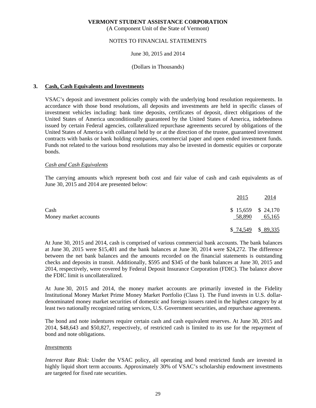(A Component Unit of the State of Vermont)

### NOTES TO FINANCIAL STATEMENTS

### June 30, 2015 and 2014

### (Dollars in Thousands)

### **3. Cash, Cash Equivalents and Investments**

 VSAC's deposit and investment policies comply with the underlying bond resolution requirements. In accordance with those bond resolutions, all deposits and investments are held in specific classes of investment vehicles including: bank time deposits, certificates of deposit, direct obligations of the United States of America unconditionally guaranteed by the United States of America, indebtedness issued by certain Federal agencies, collateralized repurchase agreements secured by obligations of the United States of America with collateral held by or at the direction of the trustee, guaranteed investment contracts with banks or bank holding companies, commercial paper and open ended investment funds. Funds not related to the various bond resolutions may also be invested in domestic equities or corporate bonds.

### *Cash and Cash Equivalents*

 The carrying amounts which represent both cost and fair value of cash and cash equivalents as of June 30, 2015 and 2014 are presented below:

|                               | 2015                          | 2014                |
|-------------------------------|-------------------------------|---------------------|
| Cash<br>Money market accounts | $$15,659$ $$24,170$<br>58,890 | 65,165              |
|                               |                               | $$74,549$ $$89,335$ |

At June 30, 2015 and 2014, cash is comprised of various commercial bank accounts. The bank balances at June 30, 2015 were \$15,401 and the bank balances at June 30, 2014 were \$24,272. The difference between the net bank balances and the amounts recorded on the financial statements is outstanding checks and deposits in transit. Additionally, \$595 and \$345 of the bank balances at June 30, 2015 and 2014, respectively, were covered by Federal Deposit Insurance Corporation (FDIC). The balance above the FDIC limit is uncollateralized.

 At June 30, 2015 and 2014, the money market accounts are primarily invested in the Fidelity Institutional Money Market Prime Money Market Portfolio (Class 1). The Fund invests in U.S. dollardenominated money market securities of domestic and foreign issuers rated in the highest category by at least two nationally recognized rating services, U.S. Government securities, and repurchase agreements.

The bond and note indentures require certain cash and cash equivalent reserves. At June 30, 2015 and 2014, \$48,643 and \$50,827, respectively, of restricted cash is limited to its use for the repayment of bond and note obligations.

#### *Investments*

*Interest Rate Risk:* Under the VSAC policy, all operating and bond restricted funds are invested in highly liquid short term accounts. Approximately 30% of VSAC's scholarship endowment investments are targeted for fixed rate securities.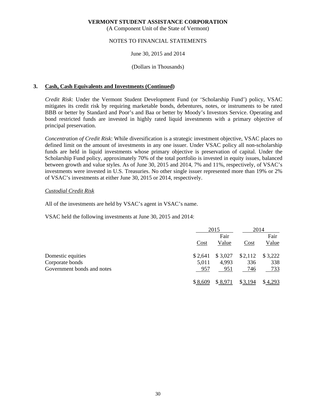(A Component Unit of the State of Vermont)

### NOTES TO FINANCIAL STATEMENTS

### June 30, 2015 and 2014

### (Dollars in Thousands)

### **3. Cash, Cash Equivalents and Investments (Continued)**

*Credit Risk*: Under the Vermont Student Development Fund (or 'Scholarship Fund') policy, VSAC mitigates its credit risk by requiring marketable bonds, debentures, notes, or instruments to be rated BBB or better by Standard and Poor's and Baa or better by Moody's Investors Service. Operating and bond restricted funds are invested in highly rated liquid investments with a primary objective of principal preservation.

*Concentration of Credit Risk*: While diversification is a strategic investment objective, VSAC places no defined limit on the amount of investments in any one issuer. Under VSAC policy all non-scholarship funds are held in liquid investments whose primary objective is preservation of capital. Under the Scholarship Fund policy, approximately 70% of the total portfolio is invested in equity issues, balanced between growth and value styles. As of June 30, 2015 and 2014, 7% and 11%, respectively, of VSAC's investments were invested in U.S. Treasuries. No other single issuer represented more than 19% or 2% of VSAC's investments at either June 30, 2015 or 2014, respectively.

### *Custodial Credit Risk*

All of the investments are held by VSAC's agent in VSAC's name.

VSAC held the following investments at June 30, 2015 and 2014:

|                                                                    |                         | 2015                    | 2014                  |                       |
|--------------------------------------------------------------------|-------------------------|-------------------------|-----------------------|-----------------------|
|                                                                    | Cost                    | Fair<br>Value           | Cost                  | Fair<br>Value         |
| Domestic equities<br>Corporate bonds<br>Government bonds and notes | \$2,641<br>5,011<br>957 | \$3,027<br>4,993<br>951 | \$2,112<br>336<br>746 | \$3,222<br>338<br>733 |
|                                                                    | \$8,609                 | \$8,971                 | \$3,194               | \$4,293               |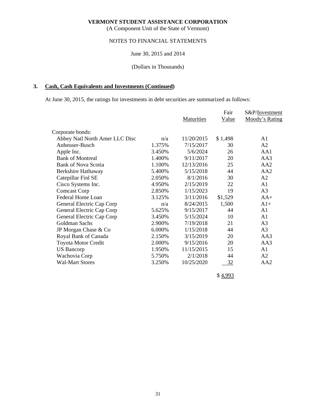(A Component Unit of the State of Vermont)

### NOTES TO FINANCIAL STATEMENTS

### June 30, 2015 and 2014

### (Dollars in Thousands)

### **3. Cash, Cash Equivalents and Investments (Continued)**

At June 30, 2015, the ratings for investments in debt securities are summarized as follows:

|                                |        |            | Fair    | S&P/Investment  |
|--------------------------------|--------|------------|---------|-----------------|
|                                |        | Maturities | Value   | Moody's Rating  |
| Corporate bonds:               |        |            |         |                 |
| Abbey Natl North Amer LLC Disc | n/a    | 11/20/2015 | \$1,498 | A1              |
| Anheuser-Busch                 | 1.375% | 7/15/2017  | 30      | A2              |
| Apple Inc.                     | 3.450% | 5/6/2024   | 26      | AA1             |
| <b>Bank of Montreal</b>        | 1.400% | 9/11/2017  | 20      | AA3             |
| <b>Bank of Nova Scotia</b>     | 1.100% | 12/13/2016 | 25      | AA <sub>2</sub> |
| Berkshire Hathaway             | 5.400% | 5/15/2018  | 44      | AA2             |
| Catepillar Finl SE             | 2.050% | 8/1/2016   | 30      | A2              |
| Cisco Systems Inc.             | 4.950% | 2/15/2019  | 22      | A1              |
| <b>Comcast Corp</b>            | 2.850% | 1/15/2023  | 19      | A <sub>3</sub>  |
| Federal Home Loan              | 3.125% | 3/11/2016  | \$1,529 | $AA+$           |
| General Electric Cap Corp      | n/a    | 8/24/2015  | 1,500   | $A1+$           |
| General Electric Cap Corp      | 5.625% | 9/15/2017  | 44      | A1              |
| General Electric Cap Corp      | 3.450% | 5/15/2024  | 10      | A1              |
| Goldman Sachs                  | 2.900% | 7/19/2018  | 21      | A <sub>3</sub>  |
| JP Morgan Chase & Co           | 6.000% | 1/15/2018  | 44      | A <sub>3</sub>  |
| Royal Bank of Canada           | 2.150% | 3/15/2019  | 20      | AA3             |
| Toyota Motor Credit            | 2.000% | 9/15/2016  | 20      | AA3             |
| <b>US</b> Bancorp              | 1.950% | 11/15/2015 | 15      | A1              |
| Wachovia Corp                  | 5.750% | 2/1/2018   | 44      | A2              |
| <b>Wal-Mart Stores</b>         | 3.250% | 10/25/2020 | 32      | AA <sub>2</sub> |
|                                |        |            |         |                 |

\$ 4,993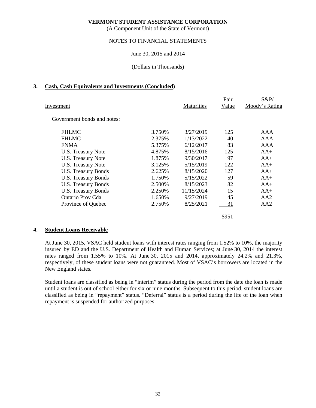(A Component Unit of the State of Vermont)

### NOTES TO FINANCIAL STATEMENTS

### June 30, 2015 and 2014

(Dollars in Thousands)

### **3. Cash, Cash Equivalents and Investments (Concluded)**

|                             |         |                   | Fair<br>Value | $S\&P/$<br>Moody's Rating |
|-----------------------------|---------|-------------------|---------------|---------------------------|
| Investment                  |         | <b>Maturities</b> |               |                           |
| Government bonds and notes: |         |                   |               |                           |
| <b>FHLMC</b>                | 3.750\% | 3/27/2019         | 125           | AAA                       |
| <b>FHLMC</b>                | 2.375%  | 1/13/2022         | 40            | AAA                       |
| <b>FNMA</b>                 | 5.375%  | 6/12/2017         | 83            | AAA                       |
| U.S. Treasury Note          | 4.875%  | 8/15/2016         | 125           | $AA+$                     |
| U.S. Treasury Note          | 1.875%  | 9/30/2017         | 97            | $AA+$                     |
| U.S. Treasury Note          | 3.125%  | 5/15/2019         | 122           | $AA+$                     |
| U.S. Treasury Bonds         | 2.625%  | 8/15/2020         | 127           | $AA+$                     |
| U.S. Treasury Bonds         | 1.750%  | 5/15/2022         | 59            | $AA+$                     |
| U.S. Treasury Bonds         | 2.500%  | 8/15/2023         | 82            | $AA+$                     |
| <b>U.S. Treasury Bonds</b>  | 2.250%  | 11/15/2024        | 15            | $AA+$                     |
| Ontario Prov Cda            | 1.650%  | 9/27/2019         | 45            | AA2                       |
| Province of Quebec          | 2.750%  | 8/25/2021         | 31            | AA2                       |
|                             |         |                   | \$951         |                           |

### **4. Student Loans Receivable**

 At June 30, 2015, VSAC held student loans with interest rates ranging from 1.52% to 10%, the majority insured by ED and the U.S. Department of Health and Human Services; at June 30, 2014 the interest rates ranged from 1.55% to 10%. At June 30, 2015 and 2014, approximately 24.2% and 21.3%, respectively, of these student loans were not guaranteed. Most of VSAC's borrowers are located in the New England states.

 Student loans are classified as being in "interim" status during the period from the date the loan is made until a student is out of school either for six or nine months. Subsequent to this period, student loans are classified as being in "repayment" status. "Deferral" status is a period during the life of the loan when repayment is suspended for authorized purposes.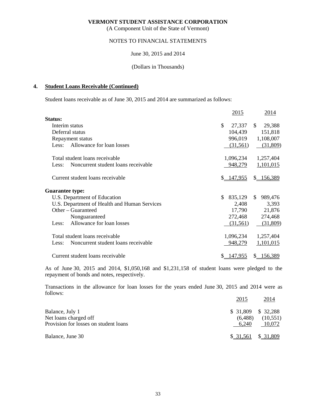(A Component Unit of the State of Vermont)

### NOTES TO FINANCIAL STATEMENTS

June 30, 2015 and 2014

### (Dollars in Thousands)

### **4. Student Loans Receivable (Continued)**

Student loans receivable as of June 30, 2015 and 2014 are summarized as follows:

|                                              | 2015                     | 2014                    |
|----------------------------------------------|--------------------------|-------------------------|
| Status:                                      |                          |                         |
| Interim status                               | \$<br>27,337             | 29,388<br><sup>\$</sup> |
| Deferral status                              | 104,439                  | 151,818                 |
| Repayment status                             | 996,019                  | 1,108,007               |
| Allowance for loan losses<br>Less:           | (31,561)                 | (31,809)                |
| Total student loans receivable               | 1,096,234                | 1,257,404               |
| Noncurrent student loans receivable<br>Less: | 948,279                  | 1,101,015               |
| Current student loans receivable             | \$.<br><u>147,955</u>    | \$156,389               |
| <b>Guarantee type:</b>                       |                          |                         |
| U.S. Department of Education                 | 835,129<br><sup>\$</sup> | \$<br>989,476           |
| U.S. Department of Health and Human Services | 2,408                    | 3,393                   |
| Other – Guaranteed                           | 17,790                   | 21,876                  |
| Nonguaranteed                                | 272,468                  | 274,468                 |
| Allowance for loan losses<br>Less:           | (31,561)                 | (31,809)                |
| Total student loans receivable               | 1,096,234                | 1,257,404               |
| Noncurrent student loans receivable<br>Less: | 948,279                  | 1,101,015               |
| Current student loans receivable             | 147,955<br>S.            | \$ 156,389              |

 As of June 30, 2015 and 2014, \$1,050,168 and \$1,231,158 of student loans were pledged to the repayment of bonds and notes, respectively.

 Transactions in the allowance for loan losses for the years ended June 30, 2015 and 2014 were as follows:

|                                       | 2015                | 2014     |
|---------------------------------------|---------------------|----------|
| Balance, July 1                       | $$31,809$ $$32,288$ |          |
| Net loans charged off                 | (6,488)             | (10,551) |
| Provision for losses on student loans | 6,240               | 10,072   |
| Balance, June 30                      | \$ 31,561           | \$31,809 |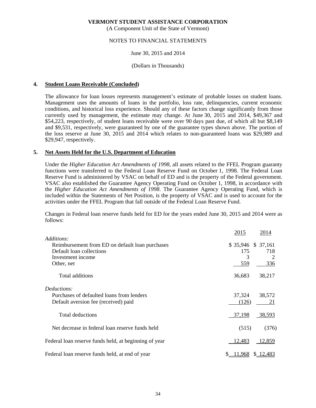(A Component Unit of the State of Vermont)

### NOTES TO FINANCIAL STATEMENTS

### June 30, 2015 and 2014

#### (Dollars in Thousands)

### **4. Student Loans Receivable (Concluded)**

 The allowance for loan losses represents management's estimate of probable losses on student loans. Management uses the amounts of loans in the portfolio, loss rate, delinquencies, current economic conditions, and historical loss experience. Should any of these factors change significantly from those currently used by management, the estimate may change. At June 30, 2015 and 2014, \$49,367 and \$54,223, respectively, of student loans receivable were over 90 days past due, of which all but \$8,149 and \$9,531, respectively, were guaranteed by one of the guarantee types shown above. The portion of the loss reserve at June 30, 2015 and 2014 which relates to non-guaranteed loans was \$29,989 and \$29,947, respectively.

### **5. Net Assets Held for the U.S. Department of Education**

 Under the *Higher Education Act Amendments of 1998*, all assets related to the FFEL Program guaranty functions were transferred to the Federal Loan Reserve Fund on October 1, 1998. The Federal Loan Reserve Fund is administered by VSAC on behalf of ED and is the property of the Federal government. VSAC also established the Guarantee Agency Operating Fund on October 1, 1998, in accordance with the *Higher Education Act Amendments of 1998*. The Guarantee Agency Operating Fund, which is included within the Statements of Net Position, is the property of VSAC and is used to account for the activities under the FFEL Program that fall outside of the Federal Loan Reserve Fund.

 Changes in Federal loan reserve funds held for ED for the years ended June 30, 2015 and 2014 were as follows:

|                                                       | 2015<br>2014        |
|-------------------------------------------------------|---------------------|
| Additions:                                            |                     |
| Reimbursement from ED on default loan purchases       | $$35,946$ $$37,161$ |
| Default loan collections                              | 175<br>718          |
| Investment income                                     | 3                   |
| Other, net                                            | 336<br>559          |
| Total additions                                       | 38,217<br>36,683    |
| Deductions:                                           |                     |
| Purchases of defaulted loans from lenders             | 37,324<br>38,572    |
| Default aversion fee (received) paid                  | 21<br>(126)         |
| <b>Total deductions</b>                               | 37,198<br>38,593    |
| Net decrease in federal loan reserve funds held       | (376)<br>(515)      |
| Federal loan reserve funds held, at beginning of year | 12,483<br>12,859    |
| Federal loan reserve funds held, at end of year       | .968                |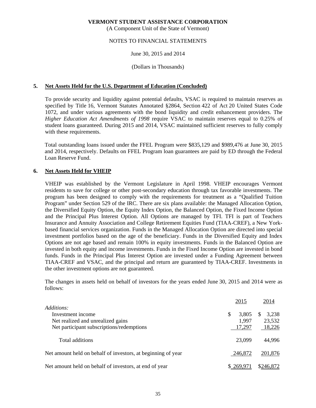(A Component Unit of the State of Vermont)

### NOTES TO FINANCIAL STATEMENTS

### June 30, 2015 and 2014

### (Dollars in Thousands)

### **5. Net Assets Held for the U.S. Department of Education (Concluded)**

 To provide security and liquidity against potential defaults, VSAC is required to maintain reserves as specified by Title 16, Vermont Statutes Annotated §2864, Section 422 of Act 20 United States Code 1072, and under various agreements with the bond liquidity and credit enhancement providers. The *Higher Education Act Amendments of 1998* require VSAC to maintain reserves equal to 0.25% of student loans guaranteed. During 2015 and 2014, VSAC maintained sufficient reserves to fully comply with these requirements.

 Total outstanding loans issued under the FFEL Program were \$835,129 and \$989,476 at June 30, 2015 and 2014, respectively. Defaults on FFEL Program loan guarantees are paid by ED through the Federal Loan Reserve Fund.

### **6. Net Assets Held for VHEIP**

 VHEIP was established by the Vermont Legislature in April 1998. VHEIP encourages Vermont residents to save for college or other post-secondary education through tax favorable investments. The program has been designed to comply with the requirements for treatment as a "Qualified Tuition Program" under Section 529 of the IRC. There are six plans available: the Managed Allocation Option, the Diversified Equity Option, the Equity Index Option, the Balanced Option, the Fixed Income Option and the Principal Plus Interest Option. All Options are managed by TFI. TFI is part of Teachers Insurance and Annuity Association and College Retirement Equities Fund (TIAA-CREF), a New Yorkbased financial services organization. Funds in the Managed Allocation Option are directed into special investment portfolios based on the age of the beneficiary. Funds in the Diversified Equity and Index Options are not age based and remain 100% in equity investments. Funds in the Balanced Option are invested in both equity and income investments. Funds in the Fixed Income Option are invested in bond funds. Funds in the Principal Plus Interest Option are invested under a Funding Agreement between TIAA-CREF and VSAC, and the principal and return are guaranteed by TIAA-CREF. Investments in the other investment options are not guaranteed.

 The changes in assets held on behalf of investors for the years ended June 30, 2015 and 2014 were as follows:

|                                                              | 2015       | 2014       |
|--------------------------------------------------------------|------------|------------|
| Additions:                                                   |            |            |
| Investment income                                            | S<br>3.805 | 3,238<br>S |
| Net realized and unrealized gains                            | 1,997      | 23,532     |
| Net participant subscriptions/redemptions                    | 17,297     | 18,226     |
| Total additions                                              | 23,099     | 44,996     |
| Net amount held on behalf of investors, at beginning of year | 246,872    | 201,876    |
| Net amount held on behalf of investors, at end of year       | \$269.971  | \$246,872  |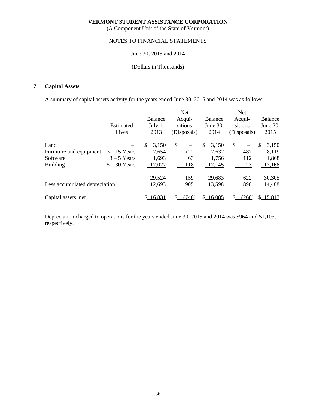(A Component Unit of the State of Vermont)

# NOTES TO FINANCIAL STATEMENTS

### June 30, 2015 and 2014

### (Dollars in Thousands)

### **7. Capital Assets**

A summary of capital assets activity for the years ended June 30, 2015 and 2014 was as follows:

|                               |                |                | <b>Net</b>                               |                | <b>Net</b>                     |                |
|-------------------------------|----------------|----------------|------------------------------------------|----------------|--------------------------------|----------------|
|                               |                | <b>Balance</b> | Acqui-                                   | <b>Balance</b> | Acqui-                         | <b>Balance</b> |
|                               | Estimated      | July $1$ ,     | sitions                                  | June 30,       | sitions                        | June 30,       |
|                               | Lives          | 2013           | (Disposals)                              | 2014           | (Disposals)                    | 2015           |
|                               |                |                |                                          |                |                                |                |
| Land                          |                | 3,150<br>S     | $\mathbb{S}$<br>$\overline{\phantom{0}}$ | \$<br>3,150    | \$<br>$\overline{\phantom{0}}$ | S<br>3,150     |
| Furniture and equipment       | $3 - 15$ Years | 7,654          | (22)                                     | 7,632          | 487                            | 8,119          |
| Software                      | $3 - 5$ Years  | 1,693          | 63                                       | 1,756          | 112                            | 1,868          |
| <b>Building</b>               | $5 - 30$ Years | 17,027         | 118                                      | 17,145         | 23                             | 17,168         |
|                               |                |                |                                          |                |                                |                |
|                               |                | 29,524         | 159                                      | 29,683         | 622                            | 30,305         |
| Less accumulated depreciation |                | 12,693         | 905                                      | 13,598         | 890                            | 14,488         |
|                               |                |                |                                          |                |                                |                |
| Capital assets, net           |                | \$16,831       | (746)                                    | \$16,085       | (268)                          | \$15,817       |
|                               |                |                |                                          |                |                                |                |

 Depreciation charged to operations for the years ended June 30, 2015 and 2014 was \$964 and \$1,103, respectively.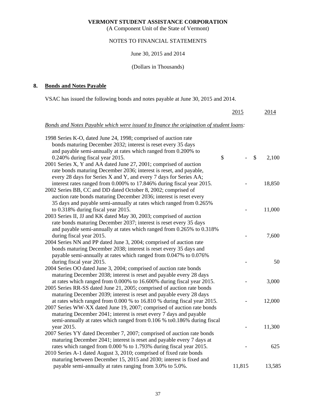(A Component Unit of the State of Vermont)

# NOTES TO FINANCIAL STATEMENTS

### June 30, 2015 and 2014

### (Dollars in Thousands)

### **8. Bonds and Notes Payable**

VSAC has issued the following bonds and notes payable at June 30, 2015 and 2014.

|                                                                                        |               | 2015   |               | 2014   |
|----------------------------------------------------------------------------------------|---------------|--------|---------------|--------|
| Bonds and Notes Payable which were issued to finance the origination of student loans: |               |        |               |        |
| 1998 Series K-O, dated June 24, 1998; comprised of auction rate                        |               |        |               |        |
| bonds maturing December 2032; interest is reset every 35 days                          |               |        |               |        |
| and payable semi-annually at rates which ranged from 0.200% to                         |               |        |               |        |
| 0.240% during fiscal year 2015.                                                        | $\mathcal{S}$ |        | $\mathcal{S}$ | 2,100  |
| 2001 Series X, Y and AA dated June 27, 2001; comprised of auction                      |               |        |               |        |
| rate bonds maturing December 2036; interest is reset, and payable,                     |               |        |               |        |
| every 28 days for Series X and Y, and every 7 days for Series AA;                      |               |        |               |        |
| interest rates ranged from 0.000% to 17.846% during fiscal year 2015.                  |               |        |               | 18,850 |
| 2002 Series BB, CC and DD dated October 8, 2002; comprised of                          |               |        |               |        |
| auction rate bonds maturing December 2036; interest is reset every                     |               |        |               |        |
| 35 days and payable semi-annually at rates which ranged from 0.265%                    |               |        |               |        |
| to 0.318% during fiscal year 2015.                                                     |               |        |               | 11,000 |
| 2003 Series II, JJ and KK dated May 30, 2003; comprised of auction                     |               |        |               |        |
| rate bonds maturing December 2037; interest is reset every 35 days                     |               |        |               |        |
| and payable semi-annually at rates which ranged from 0.265% to 0.318%                  |               |        |               |        |
| during fiscal year 2015.                                                               |               |        |               | 7,600  |
| 2004 Series NN and PP dated June 3, 2004; comprised of auction rate                    |               |        |               |        |
| bonds maturing December 2038; interest is reset every 35 days and                      |               |        |               |        |
| payable semi-annually at rates which ranged from 0.047% to 0.076%                      |               |        |               |        |
| during fiscal year 2015.                                                               |               |        |               | 50     |
| 2004 Series OO dated June 3, 2004; comprised of auction rate bonds                     |               |        |               |        |
| maturing December 2038; interest is reset and payable every 28 days                    |               |        |               |        |
| at rates which ranged from 0.000% to 16.600% during fiscal year 2015.                  |               |        |               | 3,000  |
| 2005 Series RR-SS dated June 21, 2005; comprised of auction rate bonds                 |               |        |               |        |
| maturing December 2039; interest is reset and payable every 28 days                    |               |        |               |        |
| at rates which ranged from 0.000 % to 16.810 % during fiscal year 2015.                |               |        |               | 12,000 |
| 2007 Series WW-XX dated June 19, 2007; comprised of auction rate bonds                 |               |        |               |        |
| maturing December 2041; interest is reset every 7 days and payable                     |               |        |               |        |
| semi-annually at rates which ranged from 0.106 % to 0.186% during fiscal               |               |        |               |        |
| year 2015.                                                                             |               |        |               | 11,300 |
| 2007 Series YY dated December 7, 2007; comprised of auction rate bonds                 |               |        |               |        |
| maturing December 2041; interest is reset and payable every 7 days at                  |               |        |               |        |
| rates which ranged from 0.000 % to 1.793% during fiscal year 2015.                     |               |        |               | 625    |
| 2010 Series A-1 dated August 3, 2010; comprised of fixed rate bonds                    |               |        |               |        |
| maturing between December 15, 2015 and 2030; interest is fixed and                     |               |        |               |        |
| payable semi-annually at rates ranging from 3.0% to 5.0%.                              |               | 11,815 |               | 13,585 |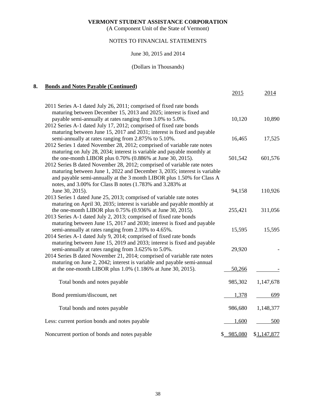(A Component Unit of the State of Vermont)

# NOTES TO FINANCIAL STATEMENTS

### June 30, 2015 and 2014

### (Dollars in Thousands)

### **8. Bonds and Notes Payable (Continued)**

|                                                                                                                                                                                                                                                                                                                                                       | 2015      | 2014        |
|-------------------------------------------------------------------------------------------------------------------------------------------------------------------------------------------------------------------------------------------------------------------------------------------------------------------------------------------------------|-----------|-------------|
| 2011 Series A-1 dated July 26, 2011; comprised of fixed rate bonds<br>maturing between December 15, 2013 and 2025; interest is fixed and<br>payable semi-annually at rates ranging from 3.0% to 5.0%.                                                                                                                                                 | 10,120    | 10,890      |
| 2012 Series A-1 dated July 17, 2012; comprised of fixed rate bonds<br>maturing between June 15, 2017 and 2031; interest is fixed and payable<br>semi-annually at rates ranging from 2.875% to 5.10%.                                                                                                                                                  | 16,465    | 17,525      |
| 2012 Series 1 dated November 28, 2012; comprised of variable rate notes<br>maturing on July 28, 2034; interest is variable and payable monthly at                                                                                                                                                                                                     |           |             |
| the one-month LIBOR plus 0.70% (0.886% at June 30, 2015).<br>2012 Series B dated November 28, 2012; comprised of variable rate notes<br>maturing between June 1, 2022 and December 3, 2035; interest is variable<br>and payable semi-annually at the 3 month LIBOR plus 1.50% for Class A<br>notes, and 3.00% for Class B notes (1.783% and 3.283% at | 501,542   | 601,576     |
| June 30, 2015).<br>2013 Series 1 dated June 25, 2013; comprised of variable rate notes<br>maturing on April 30, 2035; interest is variable and payable monthly at                                                                                                                                                                                     | 94,158    | 110,926     |
| the one-month LIBOR plus 0.75% (0.936% at June 30, 2015).<br>2013 Series A-1 dated July 2, 2013; comprised of fixed rate bonds<br>maturing between June 15, 2017 and 2030; interest is fixed and payable                                                                                                                                              | 255,421   | 311,056     |
| semi-annually at rates ranging from 2.10% to 4.65%.<br>2014 Series A-1 dated July 9, 2014; comprised of fixed rate bonds<br>maturing between June 15, 2019 and 2033; interest is fixed and payable                                                                                                                                                    | 15,595    | 15,595      |
| semi-annually at rates ranging from 3.625% to 5.0%.<br>2014 Series B dated November 21, 2014; comprised of variable rate notes<br>maturing on June 2, 2042; interest is variable and payable semi-annual                                                                                                                                              | 29,920    |             |
| at the one-month LIBOR plus 1.0% (1.186% at June 30, 2015).                                                                                                                                                                                                                                                                                           | 50,266    |             |
| Total bonds and notes payable                                                                                                                                                                                                                                                                                                                         | 985,302   | 1,147,678   |
| Bond premium/discount, net                                                                                                                                                                                                                                                                                                                            | 1,378     | 699         |
| Total bonds and notes payable                                                                                                                                                                                                                                                                                                                         | 986,680   | 1,148,377   |
| Less: current portion bonds and notes payable                                                                                                                                                                                                                                                                                                         | 1,600     | 500         |
| Noncurrent portion of bonds and notes payable                                                                                                                                                                                                                                                                                                         | \$985,080 | \$1,147,877 |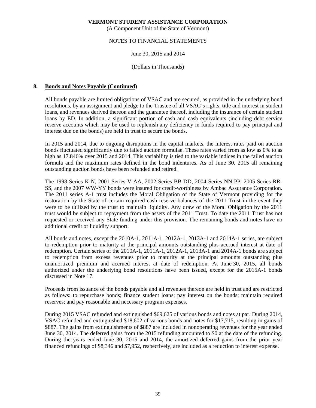(A Component Unit of the State of Vermont)

### NOTES TO FINANCIAL STATEMENTS

### June 30, 2015 and 2014

### (Dollars in Thousands)

### **8. Bonds and Notes Payable (Continued)**

 All bonds payable are limited obligations of VSAC and are secured, as provided in the underlying bond resolutions, by an assignment and pledge to the Trustee of all VSAC's rights, title and interest in student loans, and revenues derived thereon and the guarantee thereof, including the insurance of certain student loans by ED. In addition, a significant portion of cash and cash equivalents (including debt service reserve accounts which may be used to replenish any deficiency in funds required to pay principal and interest due on the bonds) are held in trust to secure the bonds.

In 2015 and 2014, due to ongoing disruptions in the capital markets, the interest rates paid on auction bonds fluctuated significantly due to failed auction formulae. These rates varied from as low as 0% to as high as 17.846% over 2015 and 2014. This variability is tied to the variable indices in the failed auction formula and the maximum rates defined in the bond indentures. As of June 30, 2015 all remaining outstanding auction bonds have been refunded and retired.

The 1998 Series K-N, 2001 Series V-AA, 2002 Series BB-DD, 2004 Series NN-PP, 2005 Series RR-SS, and the 2007 WW-YY bonds were insured for credit-worthiness by Ambac Assurance Corporation. The 2011 series A-1 trust includes the Moral Obligation of the State of Vermont providing for the restoration by the State of certain required cash reserve balances of the 2011 Trust in the event they were to be utilized by the trust to maintain liquidity. Any draw of the Moral Obligation by the 2011 trust would be subject to repayment from the assets of the 2011 Trust. To date the 2011 Trust has not requested or received any State funding under this provision. The remaining bonds and notes have no additional credit or liquidity support.

All bonds and notes, except the 2010A-1, 2011A-1, 2012A-1, 2013A-1 and 2014A-1 series, are subject to redemption prior to maturity at the principal amounts outstanding plus accrued interest at date of redemption. Certain series of the 2010A-1, 2011A-1, 2012A-1, 2013A-1 and 2014A-1 bonds are subject to redemption from excess revenues prior to maturity at the principal amounts outstanding plus unamortized premium and accrued interest at date of redemption. At June 30, 2015, all bonds authorized under the underlying bond resolutions have been issued, except for the 2015A-1 bonds discussed in Note 17.

 Proceeds from issuance of the bonds payable and all revenues thereon are held in trust and are restricted as follows: to repurchase bonds; finance student loans; pay interest on the bonds; maintain required reserves; and pay reasonable and necessary program expenses.

During 2015 VSAC refunded and extinguished \$69,625 of various bonds and notes at par. During 2014, VSAC refunded and extinguished \$18,602 of various bonds and notes for \$17,715, resulting in gains of \$887. The gains from extinguishments of \$887 are included in nonoperating revenues for the year ended June 30, 2014. The deferred gains from the 2015 refunding amounted to \$0 at the date of the refunding. During the years ended June 30, 2015 and 2014, the amortized deferred gains from the prior year financed refundings of \$8,346 and \$7,952, respectively, are included as a reduction to interest expense.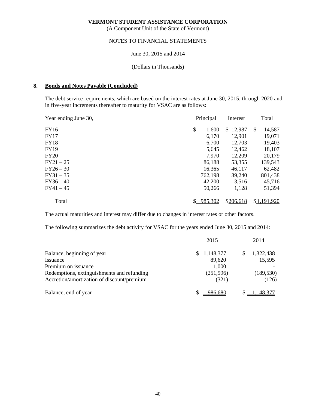(A Component Unit of the State of Vermont)

### NOTES TO FINANCIAL STATEMENTS

### June 30, 2015 and 2014

### (Dollars in Thousands)

### **8. Bonds and Notes Payable (Concluded)**

The debt service requirements, which are based on the interest rates at June 30, 2015, through 2020 and in five-year increments thereafter to maturity for VSAC are as follows:

| Year ending June 30, | Principal   | Interest  |               | Total       |
|----------------------|-------------|-----------|---------------|-------------|
| FY16                 | \$<br>1,600 | \$12,987  | <sup>\$</sup> | 14,587      |
| <b>FY17</b>          | 6,170       | 12,901    |               | 19,071      |
| <b>FY18</b>          | 6,700       | 12,703    |               | 19,403      |
| <b>FY19</b>          | 5,645       | 12,462    |               | 18,107      |
| FY20                 | 7,970       | 12,209    |               | 20,179      |
| $FY21 - 25$          | 86,188      | 53,355    |               | 139,543     |
| $FY26 - 30$          | 16,365      | 46,117    |               | 62,482      |
| $FY31 - 35$          | 762,198     | 39,240    |               | 801,438     |
| $FY36 - 40$          | 42,200      | 3,516     |               | 45,716      |
| $FY41 - 45$          | 50.266      | 1,128     |               | 51,394      |
| Total                | 985,302     | \$206,618 |               | \$1,191,920 |

The actual maturities and interest may differ due to changes in interest rates or other factors.

The following summarizes the debt activity for VSAC for the years ended June 30, 2015 and 2014:

|                                            | 2015      | 2014       |
|--------------------------------------------|-----------|------------|
| Balance, beginning of year                 | 1,148,377 | 1,322,438  |
| Issuance                                   | 89,620    | 15,595     |
| Premium on issuance                        | 1,000     |            |
| Redemptions, extinguishments and refunding | (251,996) | (189, 530) |
| Accretion/amortization of discount/premium | (321)     | (126)      |
| Balance, end of year                       | 986.680   | 148.377    |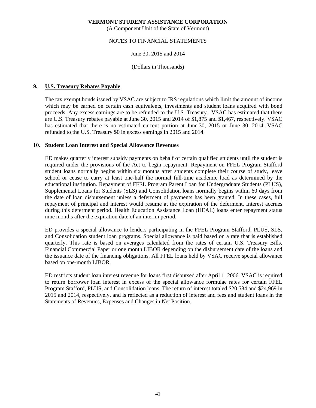(A Component Unit of the State of Vermont)

### NOTES TO FINANCIAL STATEMENTS

### June 30, 2015 and 2014

### (Dollars in Thousands)

### **9. U.S. Treasury Rebates Payable**

 The tax exempt bonds issued by VSAC are subject to IRS regulations which limit the amount of income which may be earned on certain cash equivalents, investments and student loans acquired with bond proceeds. Any excess earnings are to be refunded to the U.S. Treasury. VSAC has estimated that there are U.S. Treasury rebates payable at June 30, 2015 and 2014 of \$1,875 and \$1,467, respectively. VSAC has estimated that there is no estimated current portion at June 30, 2015 or June 30, 2014. VSAC refunded to the U.S. Treasury \$0 in excess earnings in 2015 and 2014.

### **10. Student Loan Interest and Special Allowance Revenues**

 ED makes quarterly interest subsidy payments on behalf of certain qualified students until the student is required under the provisions of the Act to begin repayment. Repayment on FFEL Program Stafford student loans normally begins within six months after students complete their course of study, leave school or cease to carry at least one-half the normal full-time academic load as determined by the educational institution. Repayment of FFEL Program Parent Loan for Undergraduate Students (PLUS), Supplemental Loans for Students (SLS) and Consolidation loans normally begins within 60 days from the date of loan disbursement unless a deferment of payments has been granted. In these cases, full repayment of principal and interest would resume at the expiration of the deferment. Interest accrues during this deferment period. Health Education Assistance Loan (HEAL) loans enter repayment status nine months after the expiration date of an interim period.

 ED provides a special allowance to lenders participating in the FFEL Program Stafford, PLUS, SLS, and Consolidation student loan programs. Special allowance is paid based on a rate that is established quarterly. This rate is based on averages calculated from the rates of certain U.S. Treasury Bills, Financial Commercial Paper or one month LIBOR depending on the disbursement date of the loans and the issuance date of the financing obligations. All FFEL loans held by VSAC receive special allowance based on one-month LIBOR.

 ED restricts student loan interest revenue for loans first disbursed after April 1, 2006. VSAC is required to return borrower loan interest in excess of the special allowance formulae rates for certain FFEL Program Stafford, PLUS, and Consolidation loans. The return of interest totaled \$20,584 and \$24,969 in 2015 and 2014, respectively, and is reflected as a reduction of interest and fees and student loans in the Statements of Revenues, Expenses and Changes in Net Position.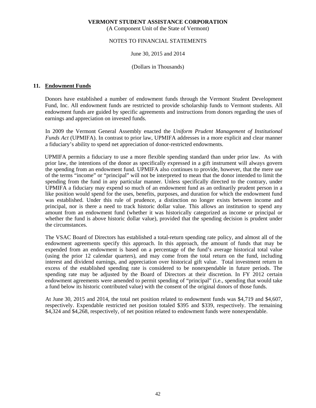(A Component Unit of the State of Vermont)

### NOTES TO FINANCIAL STATEMENTS

### June 30, 2015 and 2014

### (Dollars in Thousands)

### **11. Endowment Funds**

 Donors have established a number of endowment funds through the Vermont Student Development Fund, Inc. All endowment funds are restricted to provide scholarship funds to Vermont students. All endowment funds are guided by specific agreements and instructions from donors regarding the uses of earnings and appreciation on invested funds.

 In 2009 the Vermont General Assembly enacted the *Uniform Prudent Management of Institutional Funds Act* (UPMIFA). In contrast to prior law, UPMIFA addresses in a more explicit and clear manner a fiduciary's ability to spend net appreciation of donor-restricted endowments.

UPMIFA permits a fiduciary to use a more flexible spending standard than under prior law. As with prior law, the intentions of the donor as specifically expressed in a gift instrument will always govern the spending from an endowment fund. UPMIFA also continues to provide, however, that the mere use of the terms "income" or "principal" will not be interpreted to mean that the donor intended to limit the spending from the fund in any particular manner. Unless specifically directed to the contrary, under UPMIFA a fiduciary may expend so much of an endowment fund as an ordinarily prudent person in a like position would spend for the uses, benefits, purposes, and duration for which the endowment fund was established. Under this rule of prudence, a distinction no longer exists between income and principal, nor is there a need to track historic dollar value. This allows an institution to spend any amount from an endowment fund (whether it was historically categorized as income or principal or whether the fund is above historic dollar value), provided that the spending decision is prudent under the circumstances.

 The VSAC Board of Directors has established a total-return spending rate policy, and almost all of the endowment agreements specify this approach. In this approach, the amount of funds that may be expended from an endowment is based on a percentage of the fund's average historical total value (using the prior 12 calendar quarters), and may come from the total return on the fund, including interest and dividend earnings, and appreciation over historical gift value. Total investment return in excess of the established spending rate is considered to be nonexpendable in future periods. The spending rate may be adjusted by the Board of Directors at their discretion. In FY 2012 certain endowment agreements were amended to permit spending of "principal" (i.e., spending that would take a fund below its historic contributed value) with the consent of the original donors of those funds.

 At June 30, 2015 and 2014, the total net position related to endowment funds was \$4,719 and \$4,607, respectively. Expendable restricted net position totaled \$395 and \$339, respectively. The remaining \$4,324 and \$4,268, respectively, of net position related to endowment funds were nonexpendable.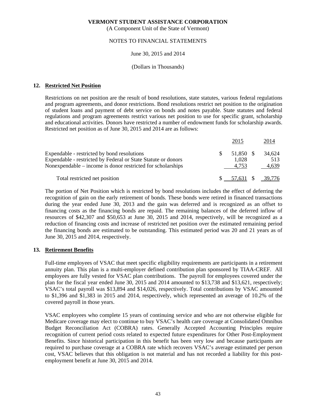(A Component Unit of the State of Vermont)

### NOTES TO FINANCIAL STATEMENTS

### June 30, 2015 and 2014

### (Dollars in Thousands)

### **12. Restricted Net Position**

 Restrictions on net position are the result of bond resolutions, state statutes, various federal regulations and program agreements, and donor restrictions. Bond resolutions restrict net position to the origination of student loans and payment of debt service on bonds and notes payable. State statutes and federal regulations and program agreements restrict various net position to use for specific grant, scholarship and educational activities. Donors have restricted a number of endowment funds for scholarship awards. Restricted net position as of June 30, 2015 and 2014 are as follows:

|                                                                                                                                                                             | 2015                        | 2014                   |
|-----------------------------------------------------------------------------------------------------------------------------------------------------------------------------|-----------------------------|------------------------|
| Expendable - restricted by bond resolutions<br>Expendable - restricted by Federal or State Statute or donors<br>Nonexpendable – income is donor restricted for scholarships | 51,850 \$<br>1,028<br>4.753 | 34,624<br>513<br>4,639 |
| Total restricted net position                                                                                                                                               | 57,631 \$                   | 39,776                 |

 The portion of Net Position which is restricted by bond resolutions includes the effect of deferring the recognition of gain on the early retirement of bonds. These bonds were retired in financed transactions during the year ended June 30, 2013 and the gain was deferred and is recognized as an offset to financing costs as the financing bonds are repaid. The remaining balances of the deferred inflow of resources of \$42,307 and \$50,653 at June 30, 2015 and 2014, respectively, will be recognized as a reduction of financing costs and increase of restricted net position over the estimated remaining period the financing bonds are estimated to be outstanding. This estimated period was 20 and 21 years as of June 30, 2015 and 2014, respectively.

#### **13. Retirement Benefits**

 Full-time employees of VSAC that meet specific eligibility requirements are participants in a retirement annuity plan. This plan is a multi-employer defined contribution plan sponsored by TIAA-CREF. All employees are fully vested for VSAC plan contributions. The payroll for employees covered under the plan for the fiscal year ended June 30, 2015 and 2014 amounted to \$13,738 and \$13,621, respectively; VSAC's total payroll was \$13,894 and \$14,026, respectively. Total contributions by VSAC amounted to \$1,396 and \$1,383 in 2015 and 2014, respectively, which represented an average of 10.2% of the covered payroll in those years.

 VSAC employees who complete 15 years of continuing service and who are not otherwise eligible for Medicare coverage may elect to continue to buy VSAC's health care coverage at Consolidated Omnibus Budget Reconciliation Act (COBRA) rates. Generally Accepted Accounting Principles require recognition of current period costs related to expected future expenditures for Other Post-Employment Benefits. Since historical participation in this benefit has been very low and because participants are required to purchase coverage at a COBRA rate which recovers VSAC's average estimated per person cost, VSAC believes that this obligation is not material and has not recorded a liability for this postemployment benefit at June 30, 2015 and 2014.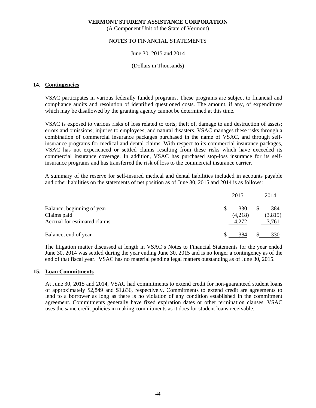(A Component Unit of the State of Vermont)

### NOTES TO FINANCIAL STATEMENTS

### June 30, 2015 and 2014

### (Dollars in Thousands)

### **14. Contingencies**

VSAC participates in various federally funded programs. These programs are subject to financial and compliance audits and resolution of identified questioned costs. The amount, if any, of expenditures which may be disallowed by the granting agency cannot be determined at this time.

 VSAC is exposed to various risks of loss related to torts; theft of, damage to and destruction of assets; errors and omissions; injuries to employees; and natural disasters. VSAC manages these risks through a combination of commercial insurance packages purchased in the name of VSAC, and through selfinsurance programs for medical and dental claims. With respect to its commercial insurance packages, VSAC has not experienced or settled claims resulting from these risks which have exceeded its commercial insurance coverage. In addition, VSAC has purchased stop-loss insurance for its selfinsurance programs and has transferred the risk of loss to the commercial insurance carrier.

A summary of the reserve for self-insured medical and dental liabilities included in accounts payable and other liabilities on the statements of net position as of June 30, 2015 and 2014 is as follows:

|                                                                           | 2015                    | 2014                    |
|---------------------------------------------------------------------------|-------------------------|-------------------------|
| Balance, beginning of year<br>Claims paid<br>Accrual for estimated claims | 330<br>(4,218)<br>4,272 | 384<br>(3,815)<br>3,761 |
| Balance, end of year                                                      | 384                     | 330                     |

The litigation matter discussed at length in VSAC's Notes to Financial Statements for the year ended June 30, 2014 was settled during the year ending June 30, 2015 and is no longer a contingency as of the end of that fiscal year. VSAC has no material pending legal matters outstanding as of June 30, 2015.

### **15. Loan Commitments**

 At June 30, 2015 and 2014, VSAC had commitments to extend credit for non-guaranteed student loans of approximately \$2,849 and \$1,836, respectively. Commitments to extend credit are agreements to lend to a borrower as long as there is no violation of any condition established in the commitment agreement. Commitments generally have fixed expiration dates or other termination clauses. VSAC uses the same credit policies in making commitments as it does for student loans receivable.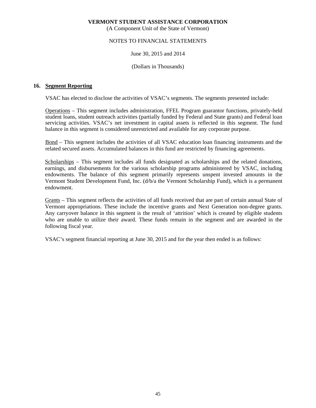(A Component Unit of the State of Vermont)

### NOTES TO FINANCIAL STATEMENTS

### June 30, 2015 and 2014

(Dollars in Thousands)

### **16. Segment Reporting**

VSAC has elected to disclose the activities of VSAC's segments. The segments presented include:

 Operations – This segment includes administration, FFEL Program guarantor functions, privately-held student loans, student outreach activities (partially funded by Federal and State grants) and Federal loan servicing activities. VSAC's net investment in capital assets is reflected in this segment. The fund balance in this segment is considered unrestricted and available for any corporate purpose.

 Bond – This segment includes the activities of all VSAC education loan financing instruments and the related secured assets. Accumulated balances in this fund are restricted by financing agreements.

 Scholarships – This segment includes all funds designated as scholarships and the related donations, earnings, and disbursements for the various scholarship programs administered by VSAC, including endowments. The balance of this segment primarily represents unspent invested amounts in the Vermont Student Development Fund, Inc. (d/b/a the Vermont Scholarship Fund), which is a permanent endowment.

Grants – This segment reflects the activities of all funds received that are part of certain annual State of Vermont appropriations. These include the incentive grants and Next Generation non-degree grants. Any carryover balance in this segment is the result of 'attrition' which is created by eligible students who are unable to utilize their award. These funds remain in the segment and are awarded in the following fiscal year.

VSAC's segment financial reporting at June 30, 2015 and for the year then ended is as follows: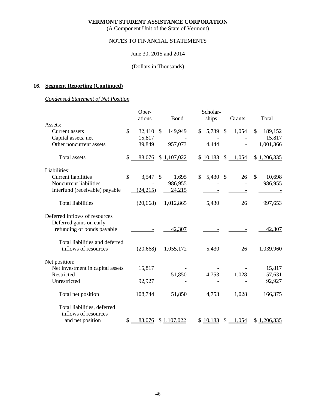(A Component Unit of the State of Vermont)

# NOTES TO FINANCIAL STATEMENTS

### June 30, 2015 and 2014

### (Dollars in Thousands)

# **16. Segment Reporting (Continued)**

### *Condensed Statement of Net Position*

|                                  |               | Oper-<br>ations |               | <b>Bond</b> | Scholar-<br>ships |               | Grants     |               | Total       |
|----------------------------------|---------------|-----------------|---------------|-------------|-------------------|---------------|------------|---------------|-------------|
| Assets:                          |               |                 |               |             |                   |               |            |               |             |
| <b>Current assets</b>            | \$            | 32,410          | $\mathcal{S}$ | 149,949     | \$<br>5,739       | $\mathcal{S}$ | 1,054      | \$            | 189,152     |
| Capital assets, net              |               | 15,817          |               |             |                   |               |            |               | 15,817      |
| Other noncurrent assets          |               | 39,849          |               | 957,073     | 4,444             |               |            |               | 1,001,366   |
| <b>Total assets</b>              | \$            | 88,076          |               | \$1,107,022 | \$10,183          | $\mathbb{S}$  | 1,054      |               | \$1,206,335 |
| Liabilities:                     |               |                 |               |             |                   |               |            |               |             |
| <b>Current liabilities</b>       | $\mathcal{S}$ | 3,547           | $\mathcal{S}$ | 1,695       | \$<br>5,430       | -S            | 26         | $\mathcal{S}$ | 10,698      |
| Noncurrent liabilities           |               |                 |               | 986,955     |                   |               |            |               | 986,955     |
| Interfund (receivable) payable   |               | (24, 215)       |               | 24,215      |                   |               |            |               |             |
| <b>Total liabilities</b>         |               | (20, 668)       |               | 1,012,865   | 5,430             |               | 26         |               | 997,653     |
| Deferred inflows of resources    |               |                 |               |             |                   |               |            |               |             |
| Deferred gains on early          |               |                 |               |             |                   |               |            |               |             |
| refunding of bonds payable       |               |                 |               | 42,307      |                   |               |            |               | 42,307      |
| Total liabilities and deferred   |               |                 |               |             |                   |               |            |               |             |
| inflows of resources             |               | (20, 668)       |               | 1,055,172   | 5,430             |               | 26         |               | 1,039,960   |
| Net position:                    |               |                 |               |             |                   |               |            |               |             |
| Net investment in capital assets |               | 15,817          |               |             |                   |               |            |               | 15,817      |
| Restricted                       |               |                 |               | 51,850      | 4,753             |               | 1,028      |               | 57,631      |
| Unrestricted                     |               | 92,927          |               |             |                   |               |            |               | 92,927      |
| Total net position               |               | 108,744         |               | 51,850      | 4,753             |               | 1,028      |               | 166,375     |
| Total liabilities, deferred      |               |                 |               |             |                   |               |            |               |             |
| inflows of resources             |               |                 |               |             |                   |               |            |               |             |
| and net position                 | \$            | 88,076          |               | \$1,107,022 | \$10,183          |               | $$ -1,054$ |               | \$1,206,335 |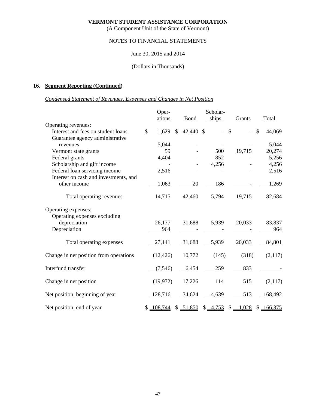(A Component Unit of the State of Vermont)

# NOTES TO FINANCIAL STATEMENTS

### June 30, 2015 and 2014

# (Dollars in Thousands)

### **16. Segment Reporting (Continued)**

### *Condensed Statement of Revenues, Expenses and Changes in Net Position*

|                                        |               | Oper-     |              |             | Scholar-      |               |                |              |
|----------------------------------------|---------------|-----------|--------------|-------------|---------------|---------------|----------------|--------------|
|                                        |               | ations    |              | <b>Bond</b> | ships         |               | Grants         | Total        |
| Operating revenues:                    |               |           |              |             |               |               |                |              |
| Interest and fees on student loans     | $\mathcal{S}$ | 1,629     | $\mathbb{S}$ | 42,440 \$   | $\frac{1}{2}$ | $\mathcal{S}$ | $\overline{a}$ | \$<br>44,069 |
| Guarantee agency administrative        |               |           |              |             |               |               |                |              |
| revenues                               |               | 5,044     |              |             |               |               |                | 5,044        |
| Vermont state grants                   |               | 59        |              |             | 500           |               | 19,715         | 20,274       |
| Federal grants                         |               | 4,404     |              |             | 852           |               |                | 5,256        |
| Scholarship and gift income            |               |           |              |             | 4,256         |               |                | 4,256        |
| Federal loan servicing income          |               | 2,516     |              |             |               |               |                | 2,516        |
| Interest on cash and investments, and  |               |           |              |             |               |               |                |              |
| other income                           |               | 1,063     |              | 20          | 186           |               |                | 1,269        |
| Total operating revenues               |               | 14,715    |              | 42,460      | 5,794         |               | 19,715         | 82,684       |
| Operating expenses:                    |               |           |              |             |               |               |                |              |
| Operating expenses excluding           |               |           |              |             |               |               |                |              |
| depreciation                           |               | 26,177    |              | 31,688      | 5,939         |               | 20,033         | 83,837       |
| Depreciation                           |               | 964       |              |             |               |               |                | 964          |
| Total operating expenses               |               | 27,141    |              | 31,688      | 5,939         |               | 20,033         | 84,801       |
| Change in net position from operations |               | (12, 426) |              | 10,772      | (145)         |               | (318)          | (2,117)      |
| Interfund transfer                     |               | (7, 546)  |              | 6,454       | 259           |               | 833            |              |
| Change in net position                 |               | (19,972)  |              | 17,226      | 114           |               | 515            | (2,117)      |
| Net position, beginning of year        |               | 128,716   |              | 34,624      | 4,639         |               | 513            | 168,492      |
| Net position, end of year              |               | 108,744   |              | \$ 51,850   | \$ 4,753      | \$            | 1,028          | \$166,375    |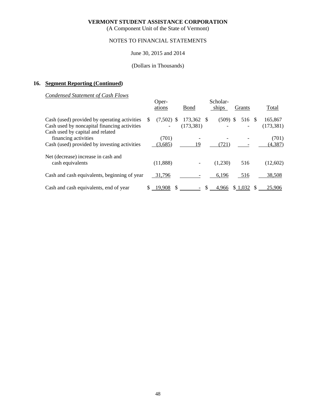(A Component Unit of the State of Vermont)

### NOTES TO FINANCIAL STATEMENTS

### June 30, 2015 and 2014

### (Dollars in Thousands)

### **16. Segment Reporting (Continued)**

*Condensed Statement of Cash Flows* 

|                                                                                                          |   | Oper-<br>ations  | Bond                  |    | Scholar-<br>ships | Grants  |    | Total                 |
|----------------------------------------------------------------------------------------------------------|---|------------------|-----------------------|----|-------------------|---------|----|-----------------------|
| Cash (used) provided by operating activities<br>Cash used by noncapital financing activities             | S | $(7,502)$ \$     | 173,362<br>(173, 381) | -8 | $(509)$ \$        | 516 \$  |    | 165,867<br>(173, 381) |
| Cash used by capital and related<br>financing activities<br>Cash (used) provided by investing activities |   | (701)<br>(3,685) | 19                    |    | (721)             |         |    | (701)<br>(4, 387)     |
| Net (decrease) increase in cash and<br>cash equivalents                                                  |   | (11,888)         |                       |    | (1,230)           | 516     |    | (12,602)              |
| Cash and cash equivalents, beginning of year                                                             |   | 31,796           |                       |    | 6,196             | 516     |    | 38,508                |
| Cash and cash equivalents, end of year                                                                   |   | $-19,908$        | \$                    |    | 4,966             | \$1,032 | -S | 25,906                |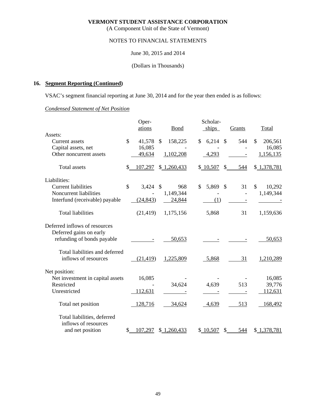(A Component Unit of the State of Vermont)

### NOTES TO FINANCIAL STATEMENTS

June 30, 2015 and 2014

(Dollars in Thousands)

### **16. Segment Reporting (Continued)**

VSAC's segment financial reporting at June 30, 2014 and for the year then ended is as follows:

# *Condensed Statement of Net Position*

|                                  | Oper-          |                         |             | Scholar-    |               |                |                         |
|----------------------------------|----------------|-------------------------|-------------|-------------|---------------|----------------|-------------------------|
| Assets:                          | ations         |                         | Bond        | ships       | Grants        |                | Total                   |
| Current assets                   | \$             | 41,578<br>$\mathcal{S}$ | 158,225     | 6,214<br>\$ | -\$           | 544            | $\mathbb{S}$<br>206,561 |
| Capital assets, net              |                | 16,085                  |             |             |               |                | 16,085                  |
| Other noncurrent assets          |                | 49,634                  | 1,102,208   | 4,293       |               |                | 1,156,135               |
| <b>Total assets</b>              | 107,297<br>\$  |                         | \$1,260,433 | \$10,507    | \$            | 544            | \$1,378,781             |
| Liabilities:                     |                |                         |             |             |               |                |                         |
| <b>Current liabilities</b>       | $\mathcal{S}$  | 3,424<br>$\mathcal{S}$  | 968         | 5,869<br>\$ | $\mathcal{S}$ | 31             | \$<br>10,292            |
| Noncurrent liabilities           |                |                         | 1,149,344   |             |               | $\overline{a}$ | 1,149,344               |
| Interfund (receivable) payable   |                | (24, 843)               | 24,844      |             | (1)           |                |                         |
| <b>Total liabilities</b>         |                | (21, 419)               | 1,175,156   | 5,868       |               | 31             | 1,159,636               |
| Deferred inflows of resources    |                |                         |             |             |               |                |                         |
| Deferred gains on early          |                |                         |             |             |               |                |                         |
| refunding of bonds payable       |                |                         | 50,653      |             |               |                | 50,653                  |
| Total liabilities and deferred   |                |                         |             |             |               |                |                         |
| inflows of resources             |                | (21, 419)               | 1,225,809   | 5,868       |               | 31             | 1,210,289               |
| Net position:                    |                |                         |             |             |               |                |                         |
| Net investment in capital assets |                | 16,085                  |             |             |               |                | 16,085                  |
| Restricted                       |                |                         | 34,624      | 4,639       |               | 513            | 39,776                  |
| Unrestricted                     | 112,631        |                         |             |             |               |                | 112,631                 |
| Total net position               | 128,716        |                         | 34,624      | 4,639       |               | 513            | 168,492                 |
| Total liabilities, deferred      |                |                         |             |             |               |                |                         |
| inflows of resources             |                |                         |             |             |               |                |                         |
| and net position                 | \$.<br>107,297 |                         | \$1,260,433 | \$10,507    | \$            | 544            | \$1,378,781             |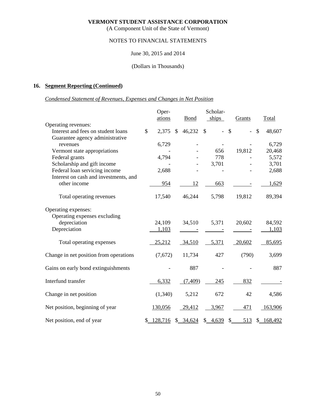(A Component Unit of the State of Vermont)

### NOTES TO FINANCIAL STATEMENTS

### June 30, 2015 and 2014

### (Dollars in Thousands)

# **16. Segment Reporting (Continued)**

### *Condensed Statement of Revenues, Expenses and Changes in Net Position*

|                                        |              | Oper-   |                         |             | Scholar-                        |                           |        |              |
|----------------------------------------|--------------|---------|-------------------------|-------------|---------------------------------|---------------------------|--------|--------------|
|                                        |              | ations  |                         | <b>Bond</b> | ships                           |                           | Grants | Total        |
| Operating revenues:                    |              |         |                         |             |                                 |                           |        |              |
| Interest and fees on student loans     | $\mathbb{S}$ | 2,375   | $\sqrt[6]{\frac{1}{2}}$ | 46,232      | $\mathcal{S}$<br>$\blacksquare$ | $\boldsymbol{\mathsf{S}}$ |        | \$<br>48,607 |
| Guarantee agency administrative        |              |         |                         |             |                                 |                           |        |              |
| revenues                               |              | 6,729   |                         |             |                                 |                           |        | 6,729        |
| Vermont state appropriations           |              |         |                         |             | 656                             |                           | 19,812 | 20,468       |
| Federal grants                         |              | 4,794   |                         |             | 778                             |                           |        | 5,572        |
| Scholarship and gift income            |              |         |                         |             | 3,701                           |                           |        | 3,701        |
| Federal loan servicing income          |              | 2,688   |                         |             |                                 |                           |        | 2,688        |
| Interest on cash and investments, and  |              |         |                         |             |                                 |                           |        |              |
| other income                           |              | 954     |                         | 12          | 663                             |                           |        | 1,629        |
| Total operating revenues               |              | 17,540  |                         | 46,244      | 5,798                           |                           | 19,812 | 89,394       |
| Operating expenses:                    |              |         |                         |             |                                 |                           |        |              |
| Operating expenses excluding           |              |         |                         |             |                                 |                           |        |              |
| depreciation                           |              | 24,109  |                         | 34,510      | 5,371                           |                           | 20,602 | 84,592       |
| Depreciation                           |              | 1,103   |                         |             |                                 |                           |        | 1,103        |
| Total operating expenses               |              | 25,212  |                         | 34,510      | 5,371                           |                           | 20,602 | 85,695       |
| Change in net position from operations |              | (7,672) |                         | 11,734      | 427                             |                           | (790)  | 3,699        |
| Gains on early bond extinguishments    |              |         |                         | 887         |                                 |                           |        | 887          |
| Interfund transfer                     |              | 6,332   |                         | (7, 409)    | 245                             |                           | 832    |              |
| Change in net position                 |              | (1,340) |                         | 5,212       | 672                             |                           | 42     | 4,586        |
| Net position, beginning of year        |              | 130,056 |                         | 29,412      | 3,967                           |                           | 471    | 163,906      |
| Net position, end of year              | S.           | 128,716 |                         | \$34,624    | \$4,639                         | \$.                       | 513    | \$168,492    |